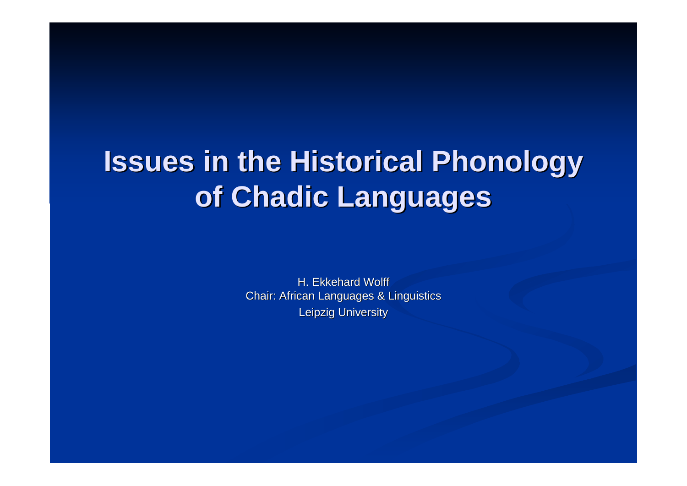# **Issues in the Historical Historical Phonology Phonology of Chadic Languages**

H. Ekkehard Wolff Chair: African Languages & Linguistics Leipzig University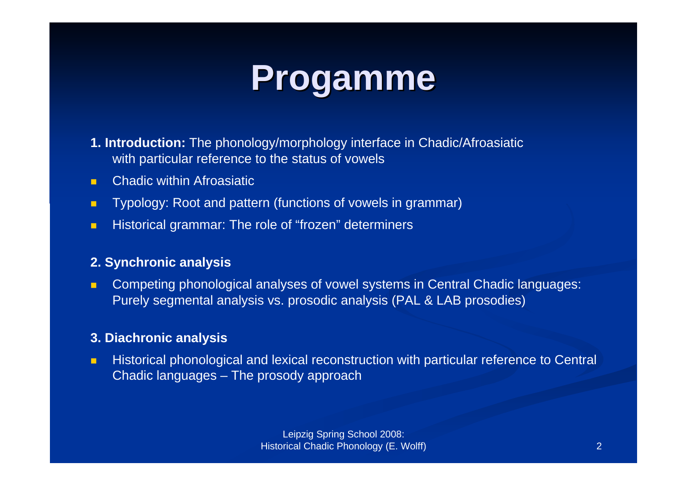

- **1. Introduction:** The phonology/morphology interface in Chadic/Afroasiatic with particular reference to the status of vowels
- $\blacksquare$ Chadic within Afroasiatic
- $\blacksquare$ Typology: Root and pattern (functions of vowels in grammar)
- п Historical grammar: The role of "frozen" determiners

#### **2. Synchronic analysis**

п Competing phonological analyses of vowel systems in Central Chadic languages: Purely segmental analysis vs. prosodic analysis (PAL & LAB prosodies)

#### **3. Diachronic analysis**

п Historical phonological and lexical reconstruction with particular reference to Central Chadic languages – The prosody approach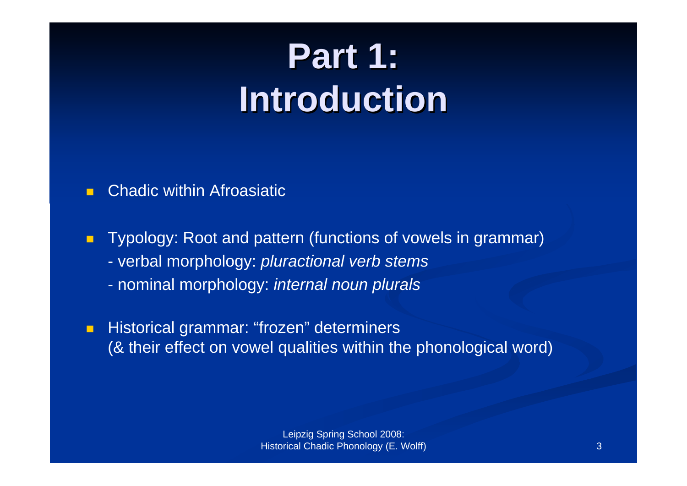# **Part 1: Part 1: Introduction Introduction**

#### $\blacksquare$ Chadic within Afroasiatic

 $\blacksquare$  Typology: Root and pattern (functions of vowels in grammar) - verbal morphology: *pluractional verb stems* - nominal morphology: *internal noun plurals*

 $\blacksquare$  Historical grammar: "frozen" determiners (& their effect on vowel qualities within the phonological word)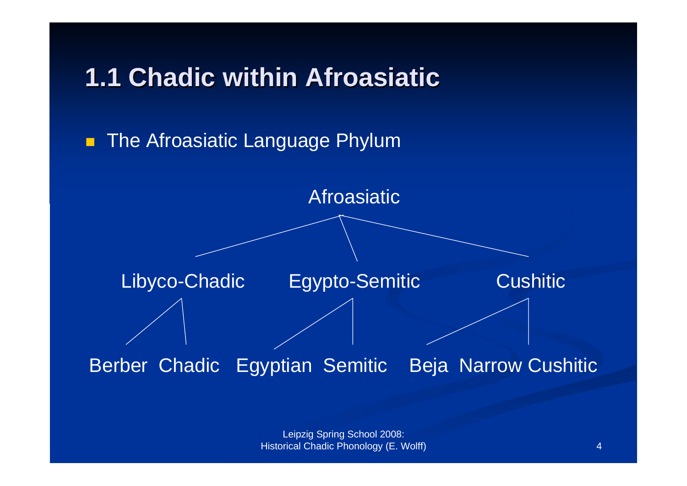#### **1.1 Chadic within Afroasiatic**

 $\blacksquare$ The Afroasiatic Language Phylum

Afroasiatic

Libyco-Chadic Egypto-Semitic Cushitic

#### Berber Chadic Egyptian Semitic Beja Narrow Cushitic

Leipzig Spring School 2008: Historical Chadic Phonology (E. Wolff)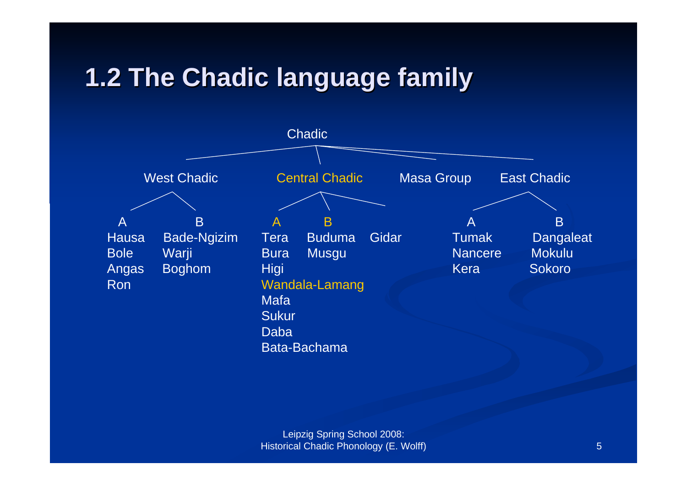#### **1.2 The Chadic 1.2 The Chadic language language family**

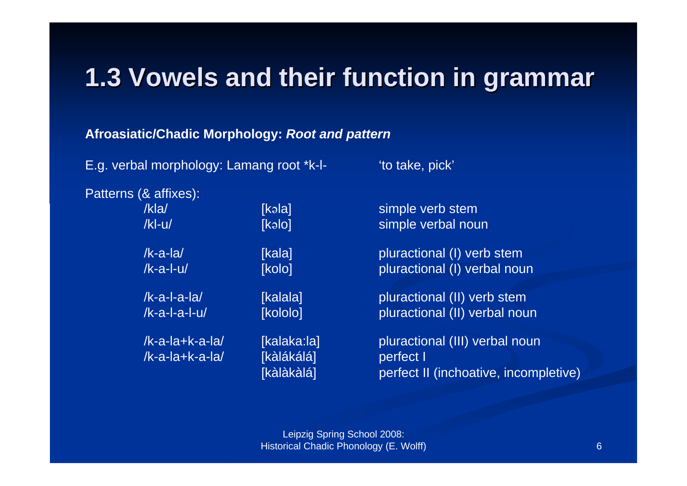#### **1.3 Vowels and their function function in grammar grammar**

#### **Afroasiatic/Chadic Morphology:** *Root and pattern*

E.g. verbal morphology: Lamang root \*k-l- 'to take, pick'

Patterns (& affixes):

/k-a-la+k-a-la/ [kàlákálá] perfect I

/kla/ [kəla] simple verb stem /kl-u/ [kəlo] simple verbal noun

/k-a-la/ [kala] pluractional (I) verb stem /k-a-l-u/ [kolo] pluractional (I) verbal noun

/k-a-l-a-la/ [kalala] pluractional (II) verb stem /k-a-l-a-l-u/ [kololo] pluractional (II) verbal noun

/k-a-la+k-a-la/ [kalaka:la] pluractional (III) verbal noun [kàlàkàlá] perfect II (inchoative, incompletive)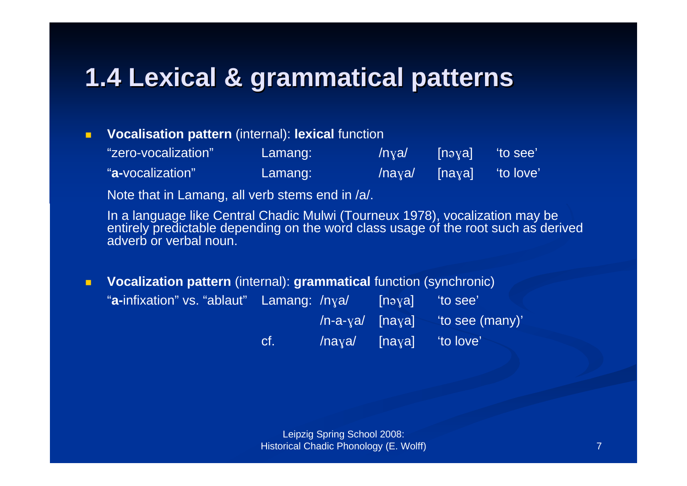#### **1.4 Lexical Lexical & grammatical grammatical patterns patterns**

#### $\blacksquare$ **Vocalisation pattern** (internal): **lexical** function

| "zero-vocalization" | Lamang: | /nya/                | [nəya]] | 'to see'   |
|---------------------|---------|----------------------|---------|------------|
| "a-vocalization"    | Lamang: | $\sqrt{\text{haya}}$ | [naya]  | 'to love', |

Note that in Lamang, all verb stems end in /a/.

In a language like Central Chadic Mulwi (Tourneux 1978), vocalization may be entirely predictable depending on the word class usage of the root such as derived adverb or verbal noun.

 $\blacksquare$  **Vocalization pattern** (internal): **grammatical** function (synchronic) "**a-**infixation" vs. "ablaut" Lamang: /nva/ [nəva] 'to see'  $/n$ -a- $y$ a $/$  [na $y$ a] 'to see (many)'  $cf.$  /na $y$ a/ [na $y$ a] 'to love'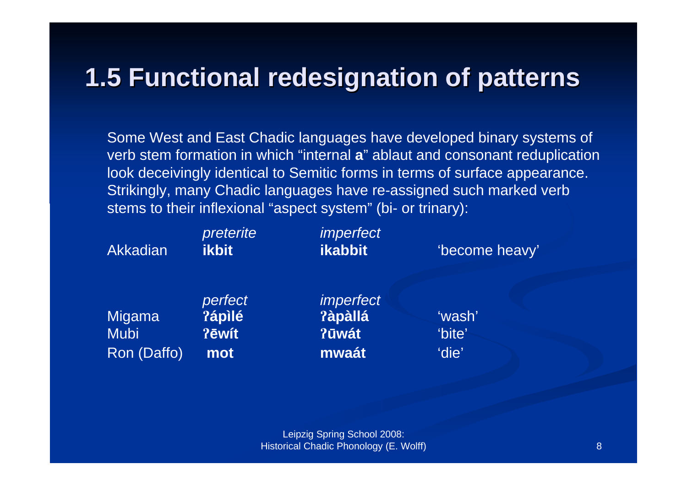#### **1.5 Functional 1.5 Functional redesignation redesignation of patterns patterns**

Some West and East Chadic languages have developed binary systems of verb stem formation in which "internal **a**" ablaut and consonant reduplication look deceivingly identical to Semitic forms in terms of surface appearance. Strikingly, many Chadic languages have re-assigned such marked verb stems to their inflexional "aspect system" (bi- or trinary):

| Akkadian                                    | preterite<br><b>ikbit</b>         | <i>imperfect</i><br><b>ikabbit</b>            | 'become heavy'            |  |
|---------------------------------------------|-----------------------------------|-----------------------------------------------|---------------------------|--|
| <b>Migama</b><br><b>Mubi</b><br>Ron (Daffo) | perfect<br>?ápìlé<br>?ēwit<br>mot | <i>imperfect</i><br>?àpàllá<br>?ūwát<br>mwaát | 'wash'<br>'bite'<br>'die' |  |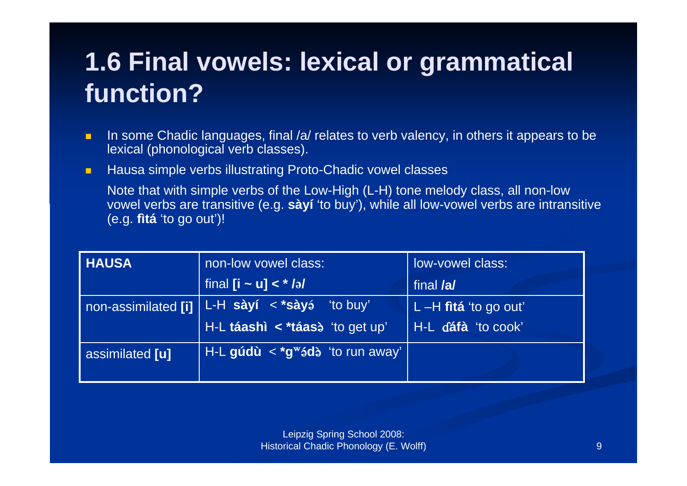#### **1.6 Final vowels: lexical or grammatical function?**

- $\blacksquare$  In some Chadic languages, final /a/ relates to verb valency, in others it appears to be lexical (phonological verb classes).
- $\blacksquare$ Hausa simple verbs illustrating Proto-Chadic vowel classes

Note that with simple verbs of the Low-High (L-H) tone melody class, all non-low vowel verbs are transitive (e.g. **sàyí** 'to buy'), while all low-vowel verbs are intransitive (e.g. **fìtá** 'to go out')!

| <b>HAUSA</b>        | non-low vowel class:                                 | low-vowel class:        |
|---------------------|------------------------------------------------------|-------------------------|
|                     | final $[i - u] < *i>J$                               | final <b>/a/</b>        |
| non-assimilated [i] | L-H <b>sàyí &lt; *sày</b> á<br>"to buy"              | L $-H$ fitá 'to go out' |
|                     | H-L táashì < *táase 'to get up'                      | H-L dáfà 'to cook'      |
| assimilated [u]     | H-L gúdù $\langle x^* g^w \rangle$ ádà 'to run away' |                         |
|                     |                                                      |                         |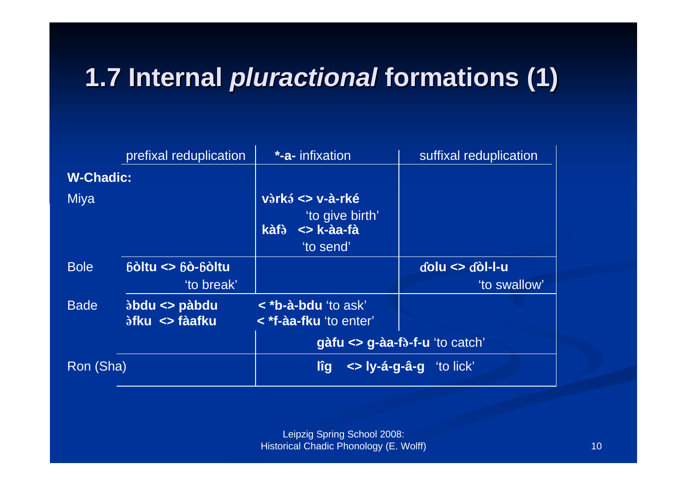# **1.7 Internal 1.7 Internal** *pluractional pluractional* **formations (1) formations (1)**

|                  | prefixal reduplication                                      | <b>*-a-</b> infixation                                                 | suffixal reduplication         |
|------------------|-------------------------------------------------------------|------------------------------------------------------------------------|--------------------------------|
| <b>W-Chadic:</b> |                                                             |                                                                        |                                |
| Miya             |                                                             | vàrká <> v-à-rké<br>'to give birth'<br><> k-àa-fà<br>kàfà<br>'to send' |                                |
| <b>Bole</b>      | $b\dot{o}$ ltu $\leq$ $b\dot{o}$ - $b\dot{o}$ ltu           |                                                                        | $d$ olu $\leq$ $d$ òl-l-u      |
|                  | 'to break'                                                  |                                                                        | 'to swallow'                   |
| <b>Bade</b>      | $\delta$ bdu <> pàbdu<br><i><b>Stku &lt;&gt; fàafku</b></i> | < * <b>b-à-bdu</b> 'to ask'<br>< *f-àa-fku 'to enter'                  |                                |
|                  |                                                             |                                                                        | gàfu <> g-àa-fà-f-u 'to catch' |
| Ron (Sha)        |                                                             | $\le$ ly-á-g-â-g "to lick"<br>lîg                                      |                                |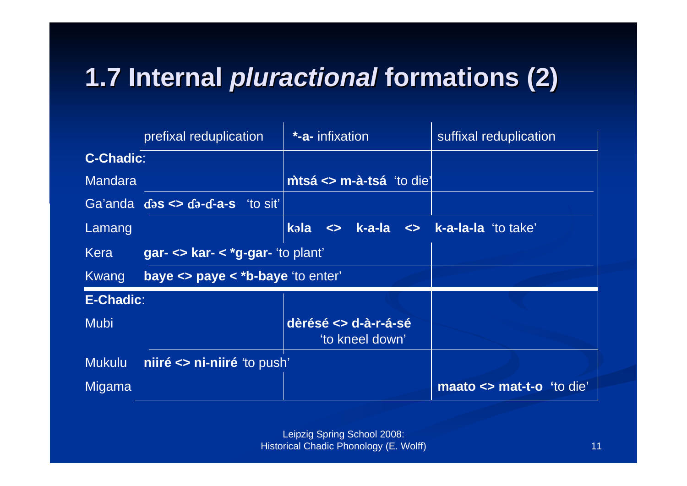# **1.7 Internal 1.7 Internal** *pluractional pluractional* **formations (2) formations (2)**

|                  | prefixal reduplication                                                  | <b>*-a-</b> infixation                                                                       | suffixal reduplication       |
|------------------|-------------------------------------------------------------------------|----------------------------------------------------------------------------------------------|------------------------------|
| <b>C-Chadic:</b> |                                                                         |                                                                                              |                              |
| <b>Mandara</b>   |                                                                         | $\mathsf{m}$ tsá <> $\mathsf{m}$ -à-tsá 'to die'                                             |                              |
|                  | $Ga'anda$ $ds \leq ba - a - a - s$ 'to sit'                             |                                                                                              |                              |
| Lamang           |                                                                         | kəla<br>$\left\langle \right\rangle$ k-a-la $\left\langle \right\rangle$ k-a-la-la 'to take' |                              |
| Kera             | gar- $\le$ kar- $\le$ *g-gar- 'to plant'                                |                                                                                              |                              |
| Kwang            | <b>baye <math>\leq</math> paye <math>\leq</math> *b-baye</b> 'to enter' |                                                                                              |                              |
| <b>E-Chadic:</b> |                                                                         |                                                                                              |                              |
| <b>Mubi</b>      |                                                                         | dèrésé <> d-à-r-á-sé<br>'to kneel down'                                                      |                              |
| <b>Mukulu</b>    | niiré <> ni-niiré to push'                                              |                                                                                              |                              |
| Migama           |                                                                         |                                                                                              | maato $\le$ mat-t-o 'to die' |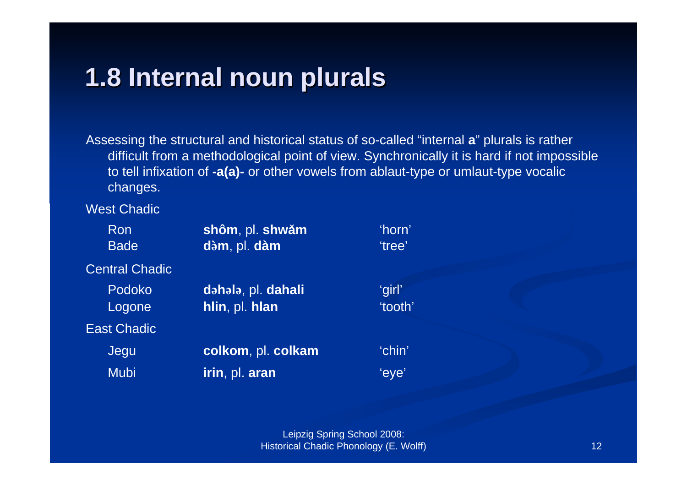#### **1.8 Internal noun plurals 1.8 Internal noun plurals**

Assessing the structural and historical status of so-called "internal **a**" plurals is rather difficult from a methodological point of view. Synchronically it is hard if not impossible to tell infixation of **-a(a)-** or other vowels from ablaut-type or umlaut-type vocalic changes.

West Chadic

| Ron<br><b>Bade</b>    | shôm, pl. shwǎm<br>dàm, pl. dàm | 'horn'<br>'tree' |
|-----------------------|---------------------------------|------------------|
| <b>Central Chadic</b> |                                 |                  |
| <b>Podoko</b>         | dəhələ, pl. dahali              | 'girl'           |
| Logone                | hlin, pl. hlan                  | 'tooth'          |
| <b>East Chadic</b>    |                                 |                  |
| Jegu                  | colkom, pl. colkam              | 'chin'           |
| <b>Mubi</b>           | irin, pl. aran                  | 'eye'            |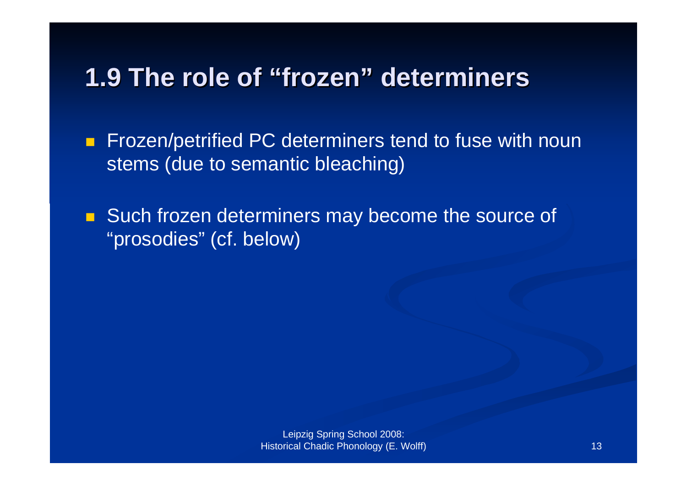#### **1.9 The role of "frozen" determiners**

 $\blacksquare$  Frozen/petrified PC determiners tend to fuse with noun stems (due to semantic bleaching)

**Such frozen determiners may become the source of** "prosodies" (cf. below)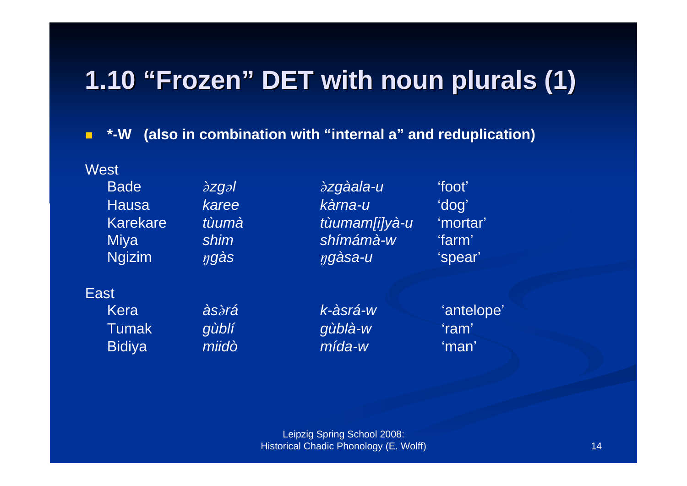### **1.10 "Frozen" DET with noun plurals (1) DET with noun plurals (1)**

П **\*-W (also in combination with "internal a" and reduplication)**

**West** Bade**Hausa** Karekare

  *zgl zgàala-u* 'foot' *karee kàrna-u* 'dog' *tùumà tùumam[i]yà-u* 'mortar' Miya *shim shímámà-w* 'farm' Ngizim *gàs gàsa-u* 'spear'

#### East

KeraTumak

 *gùblí gùblà-w* 'ram' Bidiya *miidò mída-w* 'man'

*às rá k-àsrá-w* 'antelope'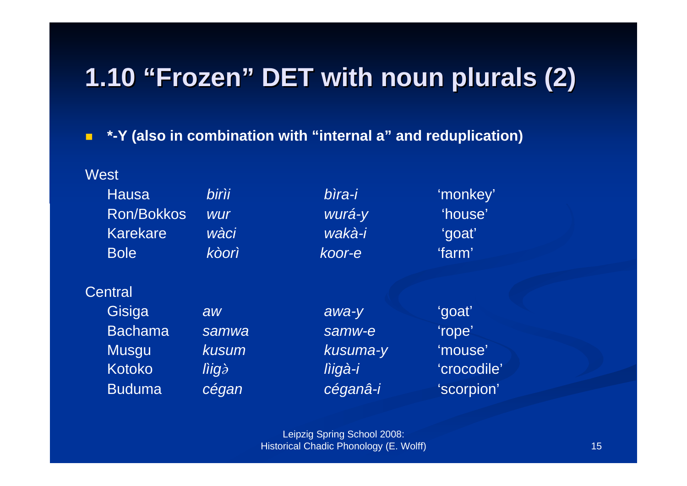## **1.10 "Frozen" DET with noun plurals (2) DET with noun plurals (2)**

 $\blacksquare$ **\*-Y (also in combination with "internal a" and reduplication)**

**Mast** 

| v v いい            |              |          |             |
|-------------------|--------------|----------|-------------|
| <b>Hausa</b>      | <b>birìi</b> | bìra-i   | 'monkey'    |
| <b>Ron/Bokkos</b> | <b>wur</b>   | wurá-y   | 'house'     |
| <b>Karekare</b>   | wàci         | wakà-i   | 'goat'      |
| <b>Bole</b>       | kòorì        | koor-e   | 'farm'      |
| Central           |              |          |             |
| Gisiga            | aw           | awa-y    | 'goat'      |
| <b>Bachama</b>    | samwa        | samw-e   | 'rope'      |
| <b>Musgu</b>      | kusum        | kusuma-y | 'mouse'     |
| <b>Kotoko</b>     | liigà        | lìigà-i  | 'crocodile' |
| <b>Buduma</b>     | cégan        | céganâ-i | 'scorpion'  |
|                   |              |          |             |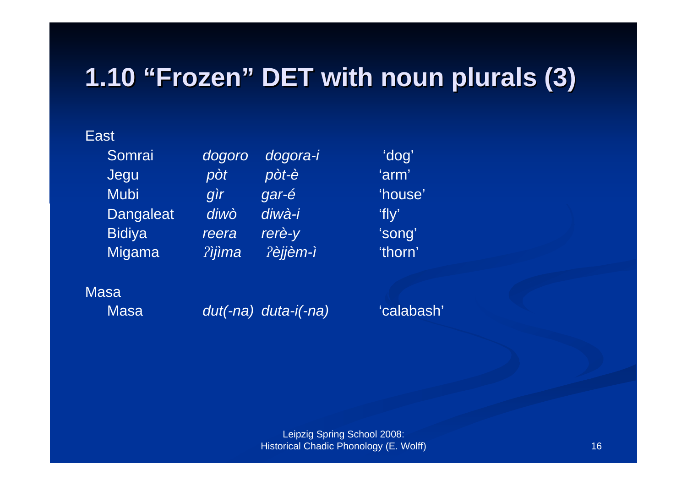### **1.10 "Frozen" DET with noun plurals (3) DET with noun plurals (3)**

#### East

Somrai *dogoro dogora-i* 'dog' Jegu *pòt pòt-è* 'arm' Mubi *gìr gar-é* 'house' Dangaleat *diwò diwà-i* 'fly' Bidiya *reera rerè-y* 'song' Migama *ìjìma èjjèm-ì* 'thorn'

#### Masa

Masa

*dut(-na) duta-i(-na)* 'calabash'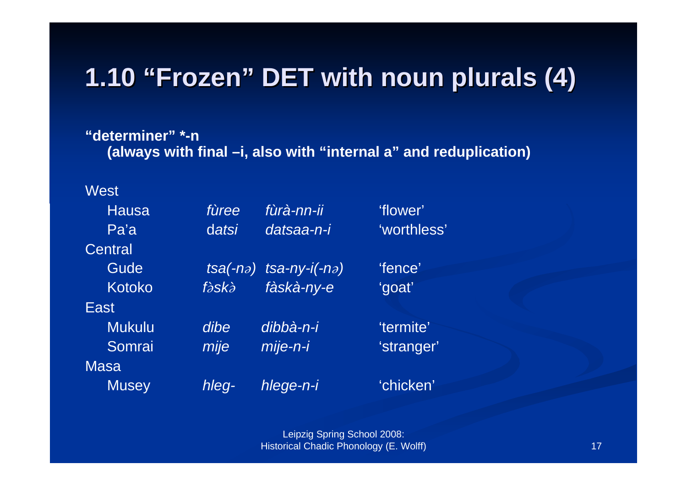## **1.10 "Frozen" DET with noun plurals (4) DET with noun plurals (4)**

**"determiner" \*-n (always with final –i, also with "internal a" and reduplication)**

West

| <b>Hausa</b>  | fùree | fùrà-nn-ii                                | 'flower'    |
|---------------|-------|-------------------------------------------|-------------|
| Pa'a          | datsi | datsaa-n-i                                | 'worthless' |
| Central       |       |                                           |             |
| Gude          |       | $tsa(-n\partial)$ tsa-ny-i(-n $\partial)$ | 'fence'     |
| Kotoko        | fàskà | fàskà-ny-e                                | 'goat'      |
| East          |       |                                           |             |
| <b>Mukulu</b> | dibe  | dibbà-n-i                                 | 'termite'   |
| Somrai        | mije  | mije-n-i                                  | 'stranger'  |
| <b>Masa</b>   |       |                                           |             |
| <b>Musey</b>  | hleq- | hlege-n-i                                 | 'chicken'   |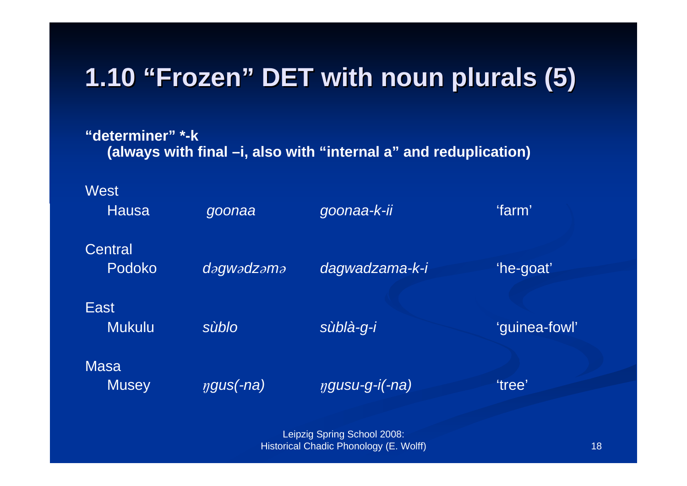### **1.10 "Frozen" DET with noun plurals (5) DET with noun plurals (5)**

**"determiner" \*-k (always with final –i, also with "internal a" and reduplication)**

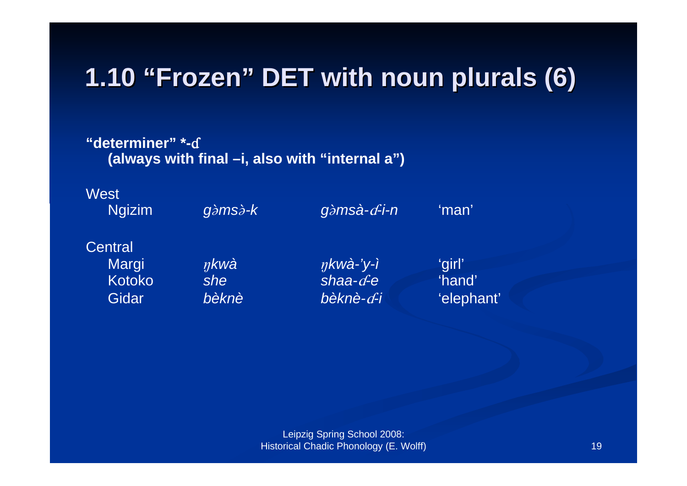#### **1.10 "Frozen" DET with noun plurals (6) DET with noun plurals (6)**

**"determiner" \*-**Î**(always with final –i, also with "internal a")**



**Central** Kotoko *she*

Gidar *bèknè*

Margi *kwà kwà-'y-ì* 'girl' *shaa-*Î*-e* 'hand' *bèknè-d-i* 'elephant'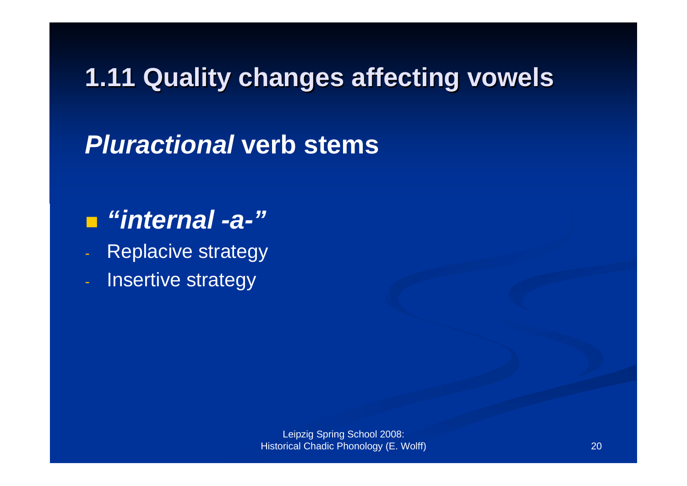#### **1.11 Quality changes affecting vowels**

#### *Pluractional* **verb stems**

#### *"internal -a-"*

- Replacive strategy
- Insertive strategy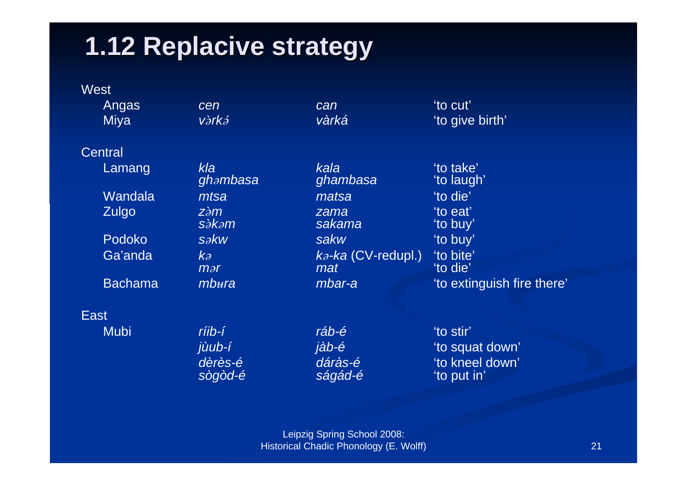#### **1.12 Replacive Replacive strategy strategy**

|             | <b>West</b>    |                                        |                                          |                                |
|-------------|----------------|----------------------------------------|------------------------------------------|--------------------------------|
|             | Angas          | cen                                    | can                                      | 'to cut'                       |
|             | <b>Miya</b>    | vàrká                                  | vàrká                                    | 'to give birth'                |
|             | Central        |                                        |                                          |                                |
|             | Lamang         | kla<br>ghambasa                        | kala<br>ghambasa                         | 'to take'<br>'to laugh'        |
|             | Wandala        | mtsa                                   | matsa                                    | 'to die'                       |
|             | Zulgo          | $z\grave{\partial}m$<br><i>sàkam</i>   | zama<br>sakama                           | 'to eat'<br>'to buy'           |
|             | Podoko         | $s$ $\partial$ $kw$                    | sakw                                     | 'to buy'                       |
|             | Ga'anda        | $k\partial$<br>$\mathop{\textit{max}}$ | $k$ <sub>2</sub> -ka (CV-redupl.)<br>mat | 'to bite'<br>'to die'          |
|             | <b>Bachama</b> | $mb{u}$ ra                             | mbar-a                                   | 'to extinguish fire there'     |
| <b>East</b> |                |                                        |                                          |                                |
|             | <b>Mubi</b>    | ríib-í                                 | ráb-é                                    | 'to stir'                      |
|             |                | jùub-í                                 | jàb-é                                    | 'to squat down'                |
|             |                | dèrès-é<br>sògòd-é                     | dáràs-é<br>ságád-é                       | 'to kneel down'<br>'to put in' |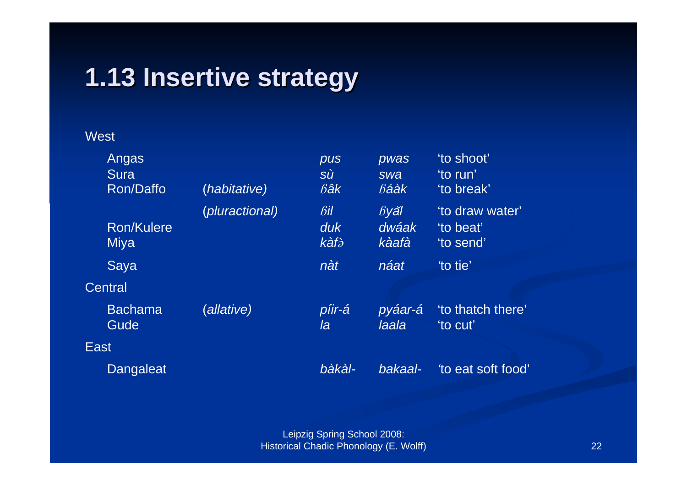#### **1.13 Insertive Insertive strategy strategy**

#### West

|         | Angas<br>Sura<br><b>Ron/Daffo</b> | (habitative)          | pus<br><b>SÙ</b><br>$\delta$ âk | pwas<br>swa<br>$b$ áàk        | 'to shoot'<br>'to run'<br>'to break'      |
|---------|-----------------------------------|-----------------------|---------------------------------|-------------------------------|-------------------------------------------|
|         | <b>Ron/Kulere</b><br>Miya         | <i>(pluractional)</i> | $\delta$ il<br>duk<br>kàfà      | $\beta$ yăl<br>dwáak<br>kàafà | 'to draw water'<br>'to beat'<br>'to send' |
| Central | Saya                              |                       | nàt                             | náat                          | to tie'                                   |
|         | <b>Bachama</b><br>Gude            | (allative)            | píir-á<br>la                    | pyáar-á<br>laala              | 'to thatch there'<br>'to cut'             |
| East,   |                                   |                       |                                 |                               |                                           |
|         | <b>Dangaleat</b>                  |                       | bàkàl-                          | bakaal-                       | to eat soft food'                         |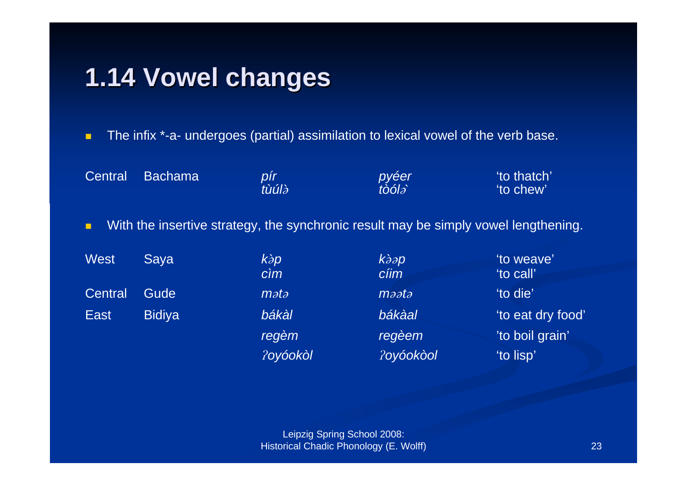#### **1.14 Vowel changes changes**

п The infix \*-a- undergoes (partial) assimilation to lexical vowel of the verb base.

Central Bachama *pír pyéer* 'to thatch' *tùúl tòól*  'to chew' п With the insertive strategy, the synchronic result may be simply vowel lengthening. West Saya *kp kp* 'to weave' *cìm cíim* 'to call' Central Gude**m**ata *maata to die'* East Bidiya *bákàl bákàal* 'to eat dry food' *regèm regèem* 'to boil grain' *oyóokòl oyóokòol* 'to lisp'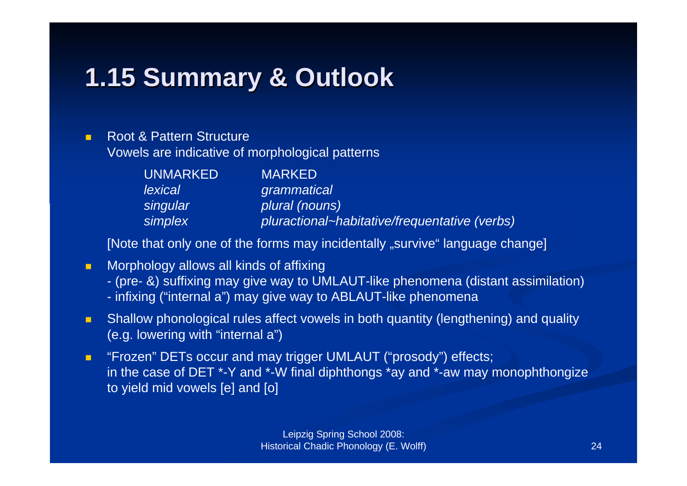## **1.15 Summary Summary & Outlook & Outlook**

#### п Root & Pattern Structure Vowels are indicative of morphological patterns

| UNMARKED | <b>MARKED</b>                                 |
|----------|-----------------------------------------------|
| lexical  | grammatical                                   |
| singular | plural (nouns)                                |
| simplex  | pluractional~habitative/frequentative (verbs) |

[Note that only one of the forms may incidentally "survive" language change]

- $\blacksquare$  Morphology allows all kinds of affixing
	- (pre- &) suffixing may give way to UMLAUT-like phenomena (distant assimilation)
	- infixing ("internal a") may give way to ABLAUT-like phenomena
- п Shallow phonological rules affect vowels in both quantity (lengthening) and quality (e.g. lowering with "internal a")
- $\blacksquare$  "Frozen" DETs occur and may trigger UMLAUT ("prosody") effects; in the case of DET \*-Y and \*-W final diphthongs \*ay and \*-aw may monophthongize to yield mid vowels [e] and [o]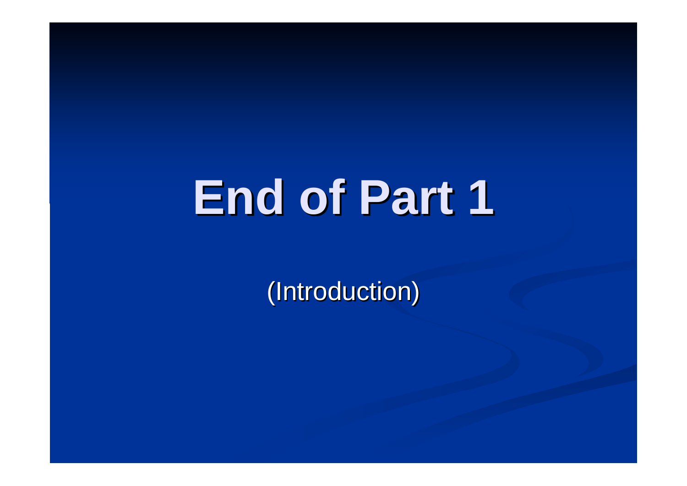# **End of Part 1 End of Part 1**

(Introduction)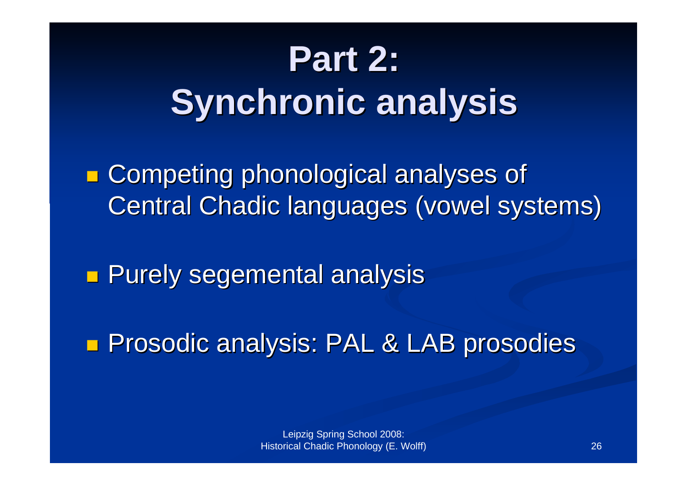# **Part 2: Synchronic Synchronic analysis analysis**

p. **E** Competing phonological analyses of Central Chadic languages (vowel systems)

e<br>Ma **Rurely segemental analysis analysis** 

**Prosodic analysis: PAL & LAB prosodies**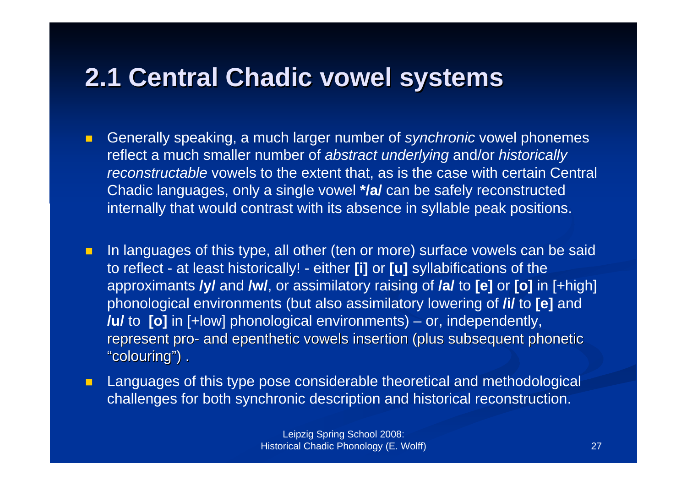#### **2.1 Central Chadic 2.1 Central Chadic vowel systems systems**

- $\blacksquare$  Generally speaking, a much larger number of *synchronic* vowel phonemes reflect a much smaller number of *abstract underlying* and/or *historically reconstructable* vowels to the extent that, as is the case with certain Central Chadic languages, only a single vowel **\*/a/** can be safely reconstructed internally that would contrast with its absence in syllable peak positions.
- п In languages of this type, all other (ten or more) surface vowels can be said to reflect - at least historically! - either **[i]** or **[u]** syllabifications of the approximants **/y/** and **/w/**, or assimilatory raising of **/a/** to **[e]** or **[o]** in [+high] phonological environments (but also assimilatory lowering of **/i/** to **[e]** and **/u/** to **[o]** in [+low] phonological environments) – or, independently, represent pro- and epenthetic vowels insertion (plus subsequent phonetic "colouring") .
- $\blacksquare$  Languages of this type pose considerable theoretical and methodological challenges for both synchronic description and historical reconstruction.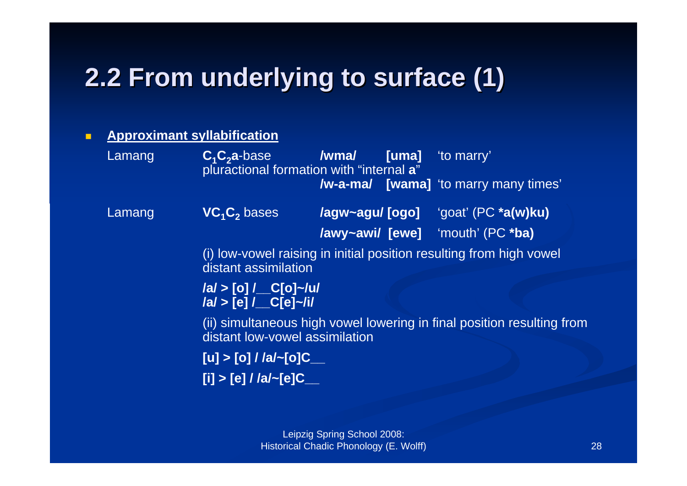### **2.2 From underlying to surface (1)**

#### п **Approximant syllabification**

Lamang **C<sub>1</sub>C<sub>2</sub>a**-base **/wma/ [uma]** 'to marry' pluractional formation with "internal **a**" **/w-a-ma/ [wama]** 'to marry many times' Lamang **VC<sub>1</sub>C<sub>2</sub>** bases bases **/agw~agu/ [ogo]** 'goat' (PC **\*a(w)ku) /awy~awi/ [ewe]** 'mouth' (PC **\*ba)** (i) low-vowel raising in initial position resulting from high vowel distant assimilation **/a/ > [o] /\_\_C[o]~/u/ /a/ > [e] /\_\_C[e]~/i/** (ii) simultaneous high vowel lowering in final position resulting from distant low-vowel assimilation **[u] > [o] / /a/~[o]C\_\_ [i] > [e] / /a/~[e]C\_\_**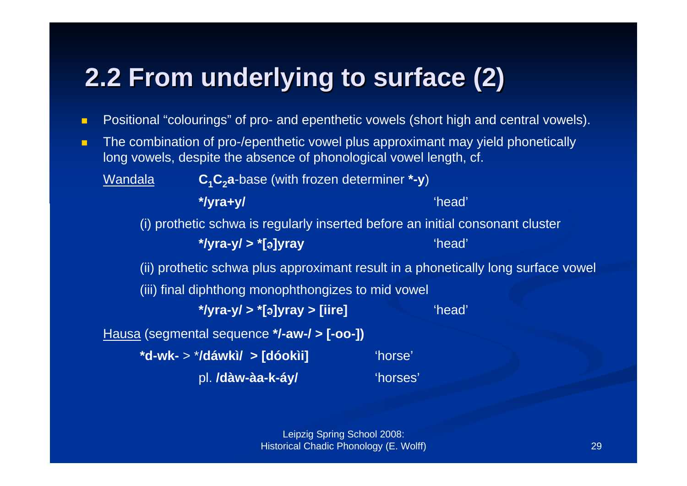## **2.2 From underlying to surface (2)**

- п Positional "colourings" of pro- and epenthetic vowels (short high and central vowels).
- $\blacksquare$  The combination of pro-/epenthetic vowel plus approximant may yield phonetically long vowels, despite the absence of phonological vowel length, cf.

Wandala**C<sub>1</sub>C<sub>2</sub>a**-base (with frozen determiner \*-y)

**\*/yra+y/** 'head'

(i) prothetic schwa is regularly inserted before an initial consonant cluster

**\*/yra-y/ > \*[**´**]yray** 'head'

(ii) prothetic schwa plus approximant result in a phonetically long surface vowel

(iii) final diphthong monophthongizes to mid vowel

**\*/yra-y/ > \*[**´**]yray > [iire]** 'head'

Hausa (segmental sequence **\*/-aw-/ > [-oo-])**

**\*d-wk-** <sup>&</sup>gt;\***/dáwkì/ > [dóokìi]** 'horse' pl. **/dàw-àa-k-áy/** 'horses'

> Leipzig Spring School 2008: Historical Chadic Phonology (E. Wolff)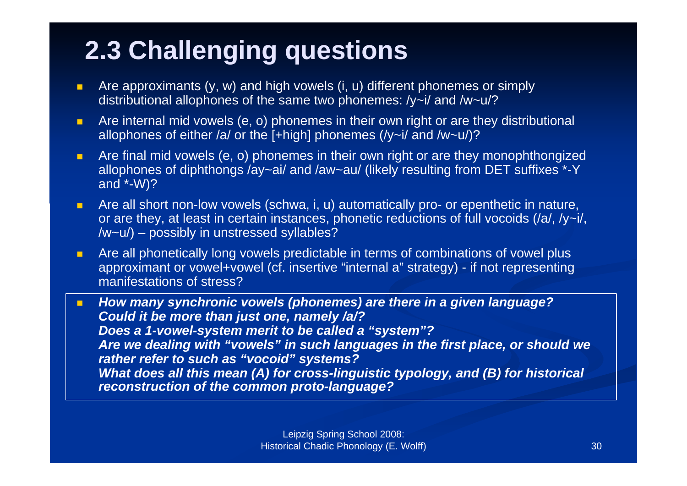### **2.3 Challenging questions**

- $\blacksquare$  Are approximants (y, w) and high vowels (i, u) different phonemes or simply distributional allophones of the same two phonemes: /y~i/ and /w~u/?
- п Are internal mid vowels (e, o) phonemes in their own right or are they distributional allophones of either /a/ or the  $[+high]$  phonemes (/y~i/ and /w~u/)?
- $\blacksquare$  Are final mid vowels (e, o) phonemes in their own right or are they monophthongized allophones of diphthongs /ay~ai/ and /aw~au/ (likely resulting from DET suffixes \*-Y and \*-W)?
- $\blacksquare$  Are all short non-low vowels (schwa, i, u) automatically pro- or epenthetic in nature, or are they, at least in certain instances, phonetic reductions of full vocoids (/a/, /y~i/, /w~u/) – possibly in unstressed syllables?
- $\blacksquare$  Are all phonetically long vowels predictable in terms of combinations of vowel plus approximant or vowel+vowel (cf. insertive "internal a" strategy) - if not representing manifestations of stress?

 $\blacksquare$  *How many synchronic vowels (phonemes) are there in a given language? Could it be more than just one, namely /a/? Does a 1-vowel-system merit to be called a "system"? Are we dealing with "vowels" in such languages in the first place, or should we rather refer to such as "vocoid" systems? What does all this mean (A) for cross-linguistic typology, and (B) for historical reconstruction of the common proto-language?*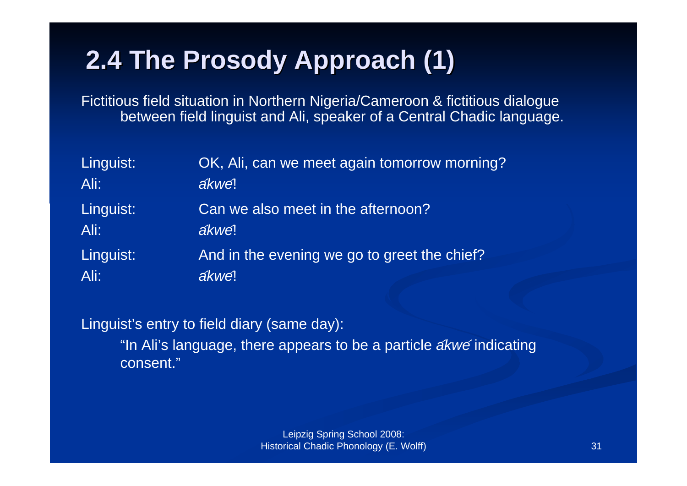### **2.4 The 2.4 The Prosody Prosody Approach (1) Approach (1)**

Fictitious field situation in Northern Nigeria/Cameroon & fictitious dialogue between field linguist and Ali, speaker of a Central Chadic language.

| Linguist: | OK, Ali, can we meet again tomorrow morning? |
|-----------|----------------------------------------------|
| Ali:      | ákwe!                                        |
| Linguist: | Can we also meet in the afternoon?           |
| Ali:      | ákwe!                                        |
| Linguist: | And in the evening we go to greet the chief? |
| Ali:      | ákwe!                                        |

Linguist's entry to field diary (same day):

"In Ali's language, there appears to be a particle *akwe* indicating consent."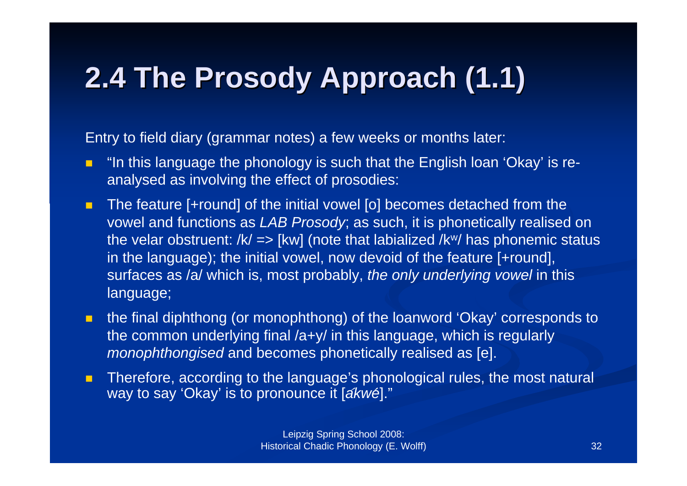# **2.4 The 2.4 The Prosody Prosody Approach (1.1) Approach (1.1)**

Entry to field diary (grammar notes) a few weeks or months later:

- $\blacksquare$  "In this language the phonology is such that the English loan 'Okay' is reanalysed as involving the effect of prosodies:
- П The feature [+round] of the initial vowel [o] becomes detached from the vowel and functions as *LAB Prosody*; as such, it is phonetically realised on the velar obstruent:  $/k/ \Rightarrow$  [kw] (note that labialized  $/k$ <sup>w</sup>/ has phonemic status in the language); the initial vowel, now devoid of the feature [+round], surfaces as /a/ which is, most probably, *the only underlying vowel* in this language;
- п the final diphthong (or monophthong) of the loanword 'Okay' corresponds to the common underlying final /a+y/ in this language, which is regularly *monophthongised* and becomes phonetically realised as [e].
- П Therefore, according to the language's phonological rules, the most natural way to say 'Okay' is to pronounce it [akwe]."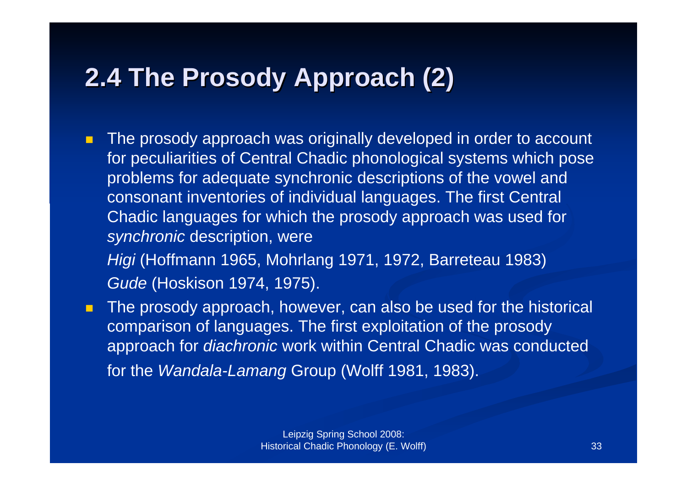#### **2.4 The Prosody Approach (2)**

 $\blacksquare$  The prosody approach was originally developed in order to account for peculiarities of Central Chadic phonological systems which pose problems for adequate synchronic descriptions of the vowel and consonant inventories of individual languages. The first Central Chadic languages for which the prosody approach was used for *synchronic* description, were

*Higi* (Hoffmann 1965, Mohrlang 1971, 1972, Barreteau 1983) *Gude* (Hoskison 1974, 1975).

m. The prosody approach, however, can also be used for the historical comparison of languages. The first exploitation of the prosody approach for *diachronic* work within Central Chadic was conducted for the *Wandala-Lamang* Group (Wolff 1981, 1983).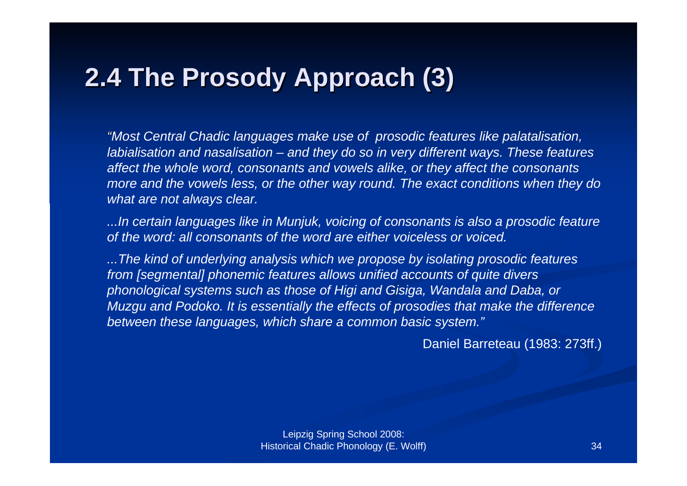#### **2.4 The Prosody Approach (3)**

*"Most Central Chadic languages make use of prosodic features like palatalisation, labialisation and nasalisation – and they do so in very different ways. These features affect the whole word, consonants and vowels alike, or they affect the consonants more and the vowels less, or the other way round. The exact conditions when they do what are not always clear.*

*...In certain languages like in Munjuk, voicing of consonants is also a prosodic feature of the word: all consonants of the word are either voiceless or voiced.*

*...The kind of underlying analysis which we propose by isolating prosodic features from [segmental] phonemic features allows unified accounts of quite divers phonological systems such as those of Higi and Gisiga, Wandala and Daba, or Muzgu and Podoko. It is essentially the effects of prosodies that make the difference between these languages, which share a common basic system."*

Daniel Barreteau (1983: 273ff.)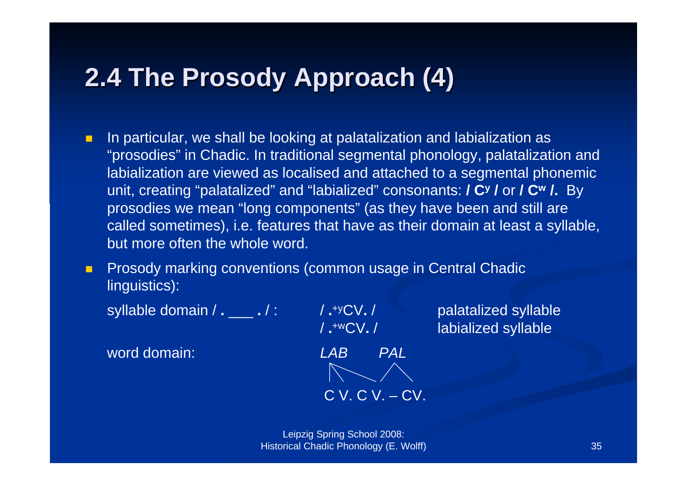#### **2.4 The Prosody Approach (4)**

 $\blacksquare$  In particular, we shall be looking at palatalization and labialization as "prosodies" in Chadic. In traditional segmental phonology, palatalization and labialization are viewed as localised and attached to a segmental phonemic unit, creating "palatalized" and "labialized" consonants: **/ Cy /** or **/ Cw /.** By prosodies we mean "long components" (as they have been and still are called sometimes), i.e. features that have as their domain at least a syllable, but more often the whole word.

**Prosody marking conventions (common usage in Central Chadic** linguistics):

syllable domain / **.** \_\_\_ **.** / : / **.**+yCV**.** / palatalized syllable

word domain:



/ **.**+wCV**.** / labialized syllable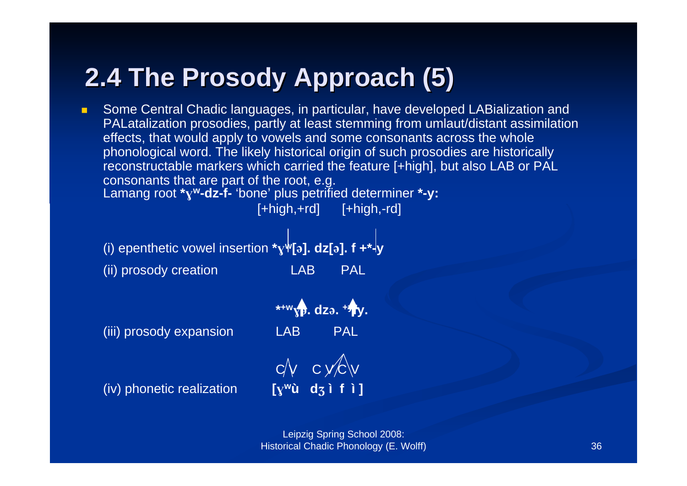#### **2.4 The 2.4 The Prosody Prosody Approach (5) Approach (5)**

 $\blacksquare$  Some Central Chadic languages, in particular, have developed LABialization and PALatalization prosodies, partly at least stemming from umlaut/distant assimilation effects, that would apply to vowels and some consonants across the whole phonological word. The likely historical origin of such prosodies are historically reconstructable markers which carried the feature [+high], but also LAB or PAL consonants that are part of the root, e.g. Lamang root **\*w-dz-f-** 'bone' plus petrified determiner **\*-y:**

 $[-\text{high},+\text{rd}]$   $[-\text{high},-\text{rd}]$ 

(i) epenthetic vowel insertion  $*_{\mathbf{Y}} \mathbf{\Psi}[\mathbf{a}]$ . **dz**[**a**]. **f** + $*$ <sup> $\mathbf{\Psi}$ </sup> (ii) prosody creation LAB PAL

(iii) prosody expansion LAB PAL

(iv) phonetic realization **[wù d ì f ì ]**

**\*+w. dz. +yfy.**  $C/V$   $C$   $V/C$   $V$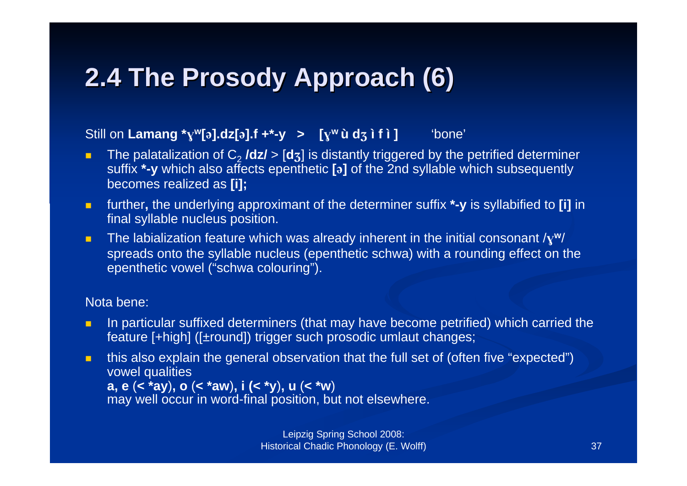# **2.4 The Prosody Approach (6)**

### Still on Lamang  $^*y^w[\mathfrak{d}]\cdot dz[\mathfrak{d}]\cdot f +^* - y$  >  $[y^w \mathfrak{d} \mathfrak{d} \mathfrak{d}]$  if **i** ] there'

- $\blacksquare$ ■ The palatalization of C<sub>2</sub> **/dz/ > [d**ʒ] is distantly triggered by the petrified determiner suffix **\*-y** which also affects epenthetic **[]** of the 2nd syllable which subsequently becomes realized as **[i];**
- $\blacksquare$  further**,** the underlying approximant of the determiner suffix **\*-y** is syllabified to **[i]** in final syllable nucleus position.
- $\blacksquare$  The labialization feature which was already inherent in the initial consonant /**<sup>w</sup>**/ spreads onto the syllable nucleus (epenthetic schwa) with a rounding effect on the epenthetic vowel ("schwa colouring").

### Nota bene:

- $\blacksquare$  In particular suffixed determiners (that may have become petrified) which carried the feature [+high] ([±round]) trigger such prosodic umlaut changes;
- п this also explain the general observation that the full set of (often five "expected") vowel qualities **a, e** (**< \*ay**)**, <sup>o</sup>**(**<sup>&</sup>lt; \*aw**)**, i (< \*y**)**, <sup>u</sup>**(**<sup>&</sup>lt; \*w**) may well occur in word-final position, but not elsewhere.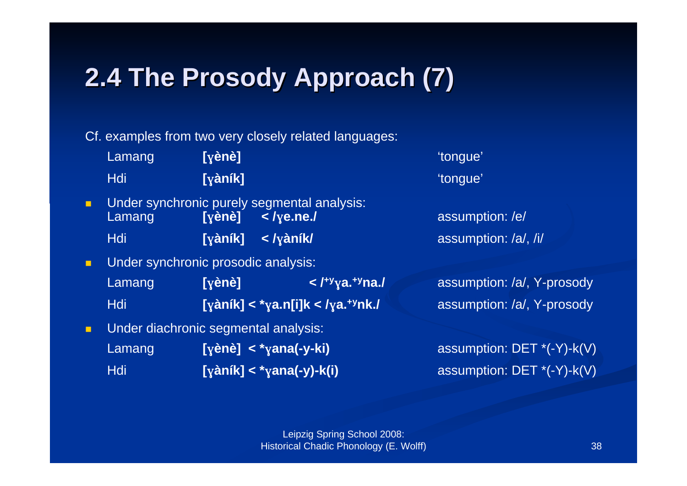# **2.4 The 2.4 The Prosody Prosody Approach (7) Approach (7)**

Cf. examples from two very closely related languages:

|                | Lamang                               | $[\hat{\mathsf{y}}\hat{\mathsf{e}}\hat{\mathsf{n}}\hat{\mathsf{e}}]$ |                                                                   | 'tongue'                     |
|----------------|--------------------------------------|----------------------------------------------------------------------|-------------------------------------------------------------------|------------------------------|
|                | <b>Hdi</b>                           | $[\mathsf{y}\mathsf{an}\mathsf{i}\mathsf{k}]$                        |                                                                   | 'tongue'                     |
| $\blacksquare$ | Lamang                               | $[\overline{y}$ ènè]                                                 | Under synchronic purely segmental analysis:<br>$\langle$ /ye.ne./ | assumption: /e/              |
|                | <b>Hdi</b>                           | $[\mathsf{y}\mathsf{an} \mathsf{f}\mathsf{k}]$                       | $\langle$ / $\gamma$ àník/                                        | assumption: /a/, /i/         |
| П              | Under synchronic prosodic analysis:  |                                                                      |                                                                   |                              |
|                | Lamang                               | $[\mathbf{y}\mathbf{e}\mathbf{n}\mathbf{e}]$                         | $\langle$ / <sup>+y</sup> ya. <sup>+y</sup> na./                  | assumption: /a/, Y-prosody   |
|                | <b>Hdi</b>                           |                                                                      | [yàník] < *ya.n[i]k < /ya. <sup>+y</sup> nk./                     | assumption: /a/, Y-prosody   |
| П              | Under diachronic segmental analysis: |                                                                      |                                                                   |                              |
|                | Lamang                               |                                                                      | [ $\{$ ènè] < * $\{$ zana(-y-ki)                                  | assumption: $DET *(-Y)-k(V)$ |
|                | <b>Hdi</b>                           |                                                                      | [yàník] < * yana(-y)-k(i)                                         | assumption: DET *(-Y)-k(V)   |
|                |                                      |                                                                      |                                                                   |                              |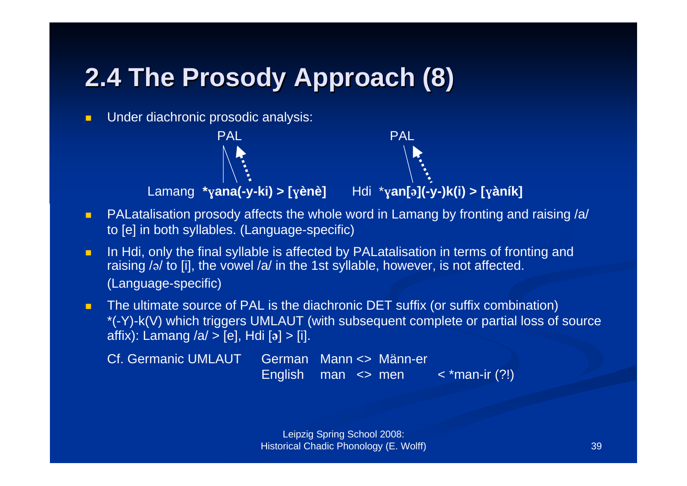## **2.4 The 2.4 The Prosody Prosody Approach (8) Approach (8)**

П Under diachronic prosodic analysis:





- $\blacksquare$  PALatalisation prosody affects the whole word in Lamang by fronting and raising /a/ to [e] in both syllables. (Language-specific)
- $\blacksquare$  In Hdi, only the final syllable is affected by PALatalisation in terms of fronting and raising  $/$ <sup>/</sup> to [i], the vowel  $/$ a $/$  in the 1st syllable, however, is not affected. (Language-specific)
- п The ultimate source of PAL is the diachronic DET suffix (or suffix combination) \*(-Y)-k(V) which triggers UMLAUT (with subsequent complete or partial loss of source affix): Lamang /a/ > [e], Hdi [a] > [i].

| Cf. Germanic UMLAUT German Mann <> Männ-er |                        |                      |
|--------------------------------------------|------------------------|----------------------|
|                                            | English man $\leq$ men | $\prec$ *man-ir (?!) |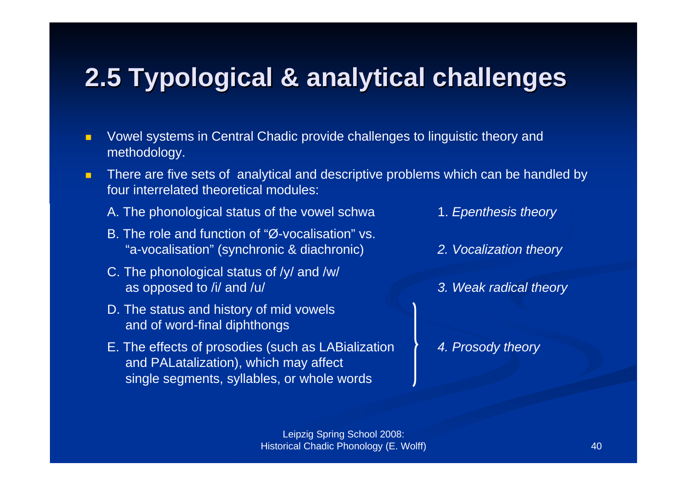### **2.5 Typological Typological & analytical analytical challenges challenges**

- $\blacksquare$  Vowel systems in Central Chadic provide challenges to linguistic theory and methodology.
- $\blacksquare$  There are five sets of analytical and descriptive problems which can be handled by four interrelated theoretical modules:
	- A. The phonological status of the vowel schwa 1. *Epenthesis theory*
	- B. The role and function of "Ø-vocalisation" vs. "a-vocalisation" (synchronic & diachronic) *2. Vocalization theory*
	- C. The phonological status of /y/ and /w/ as opposed to /i/ and /u/ *3. Weak radical theory*
	- D. The status and history of mid vowels and of word-final diphthongs
	- E. The effects of prosodies (such as LABialization *4. Prosody theory* and PALatalization), which may affect single segments, syllables, or whole words
- 
- 
-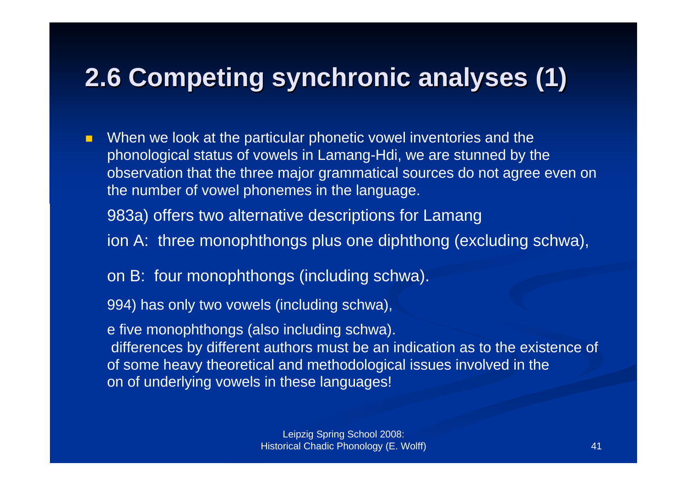### **2.6 Competing Competing synchronic synchronic analyses analyses (1)**

 $\blacksquare$  When we look at the particular phonetic vowel inventories and the phonological status of vowels in Lamang-Hdi, we are stunned by the observation that the three major grammatical sources do not agree even on the number of vowel phonemes in the language.

983a) offers two alternative descriptions for Lamang

- ion A: three monophthongs plus one diphthong (excluding schwa),
- on B: four monophthongs (including schwa).

994) has only two vowels (including schwa),

e five monophthongs (also including schwa). differences by different authors must be an indication as to the existence of of some heavy theoretical and methodological issues involved in the on of underlying vowels in these languages!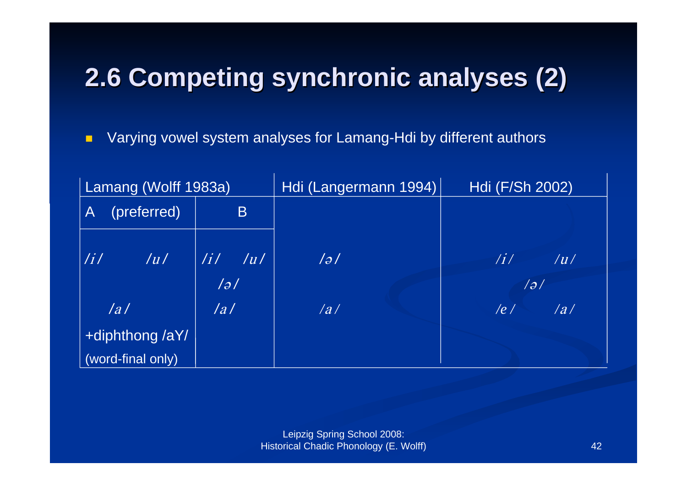# **2.6 Competing Competing synchronic synchronic analyses analyses (2)**

 $\blacksquare$ Varying vowel system analyses for Lamang-Hdi by different authors

| Lamang (Wolff 1983a)                                      |                                                          | Hdi (Langermann 1994) | Hdi (F/Sh 2002)                                   |  |
|-----------------------------------------------------------|----------------------------------------------------------|-----------------------|---------------------------------------------------|--|
| (preferred)<br>$\mathsf{A}$                               | B                                                        |                       |                                                   |  |
| $\left  \frac{1}{l} \right $ $\left  \frac{1}{l} \right $ | $\begin{array}{ c c } \hline \hline \end{array}$ /i/ /u/ | $\frac{1}{2}$         | $\left  i \right\rangle$ $\left  i \right\rangle$ |  |
| a                                                         | /a/                                                      | /a/                   | 79/<br>$ e $ /a/                                  |  |
| +diphthong /aY/<br>(word-final only)                      |                                                          |                       |                                                   |  |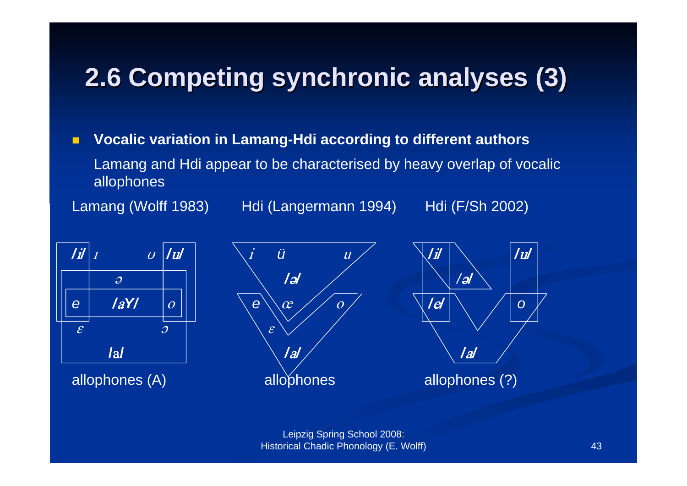### **2.6 Competing Competing synchronic synchronic analyses analyses (3)**

 $\blacksquare$  **Vocalic variation in Lamang-Hdi according to different authors** Lamang and Hdi appear to be characterised by heavy overlap of vocalic allophones

Lamang (Wolff 1983) Hdi (Langermann 1994) Hdi (F/Sh 2002)





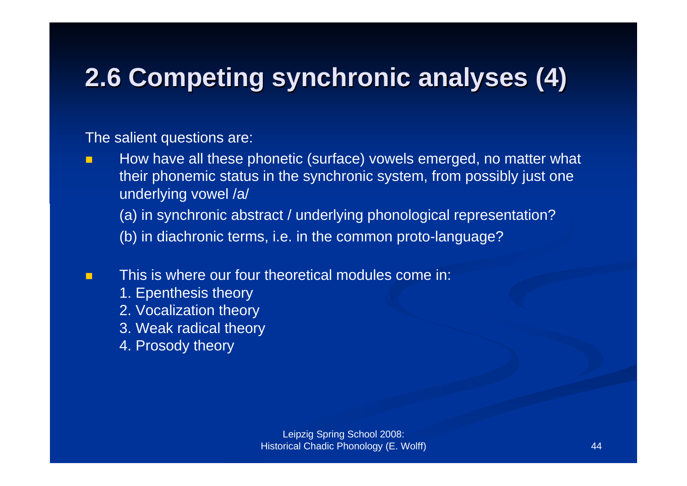# **2.6 Competing Competing synchronic synchronic analyses analyses (4)**

The salient questions are:

П How have all these phonetic (surface) vowels emerged, no matter what their phonemic status in the synchronic system, from possibly just one underlying vowel /a/

(a) in synchronic abstract / underlying phonological representation?

- (b) in diachronic terms, i.e. in the common proto-language?
- П This is where our four theoretical modules come in:
	- 1. Epenthesis theory
	- 2. Vocalization theory
	- 3. Weak radical theory
	- 4. Prosody theory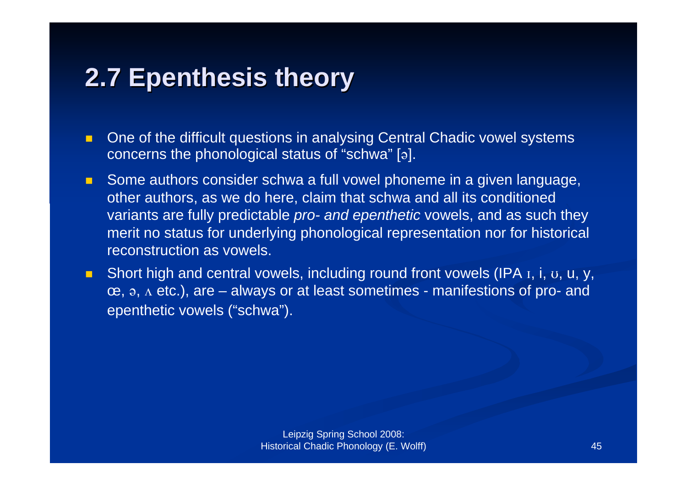### **2.7 Epenthesis theory 2.7 Epenthesis theory**

- $\blacksquare$  One of the difficult questions in analysing Central Chadic vowel systems concerns the phonological status of "schwa"  $[9]$ .
- $\blacksquare$  Some authors consider schwa a full vowel phoneme in a given language, other authors, as we do here, claim that schwa and all its conditioned variants are fully predictable *pro- and epenthetic* vowels, and as such they merit no status for underlying phonological representation nor for historical reconstruction as vowels.
- $\blacksquare$ Short high and central vowels, including round front vowels (IPA I, i, U, U, Y,  $\infty$ ,  $\infty$ ,  $\wedge$  etc.), are – always or at least sometimes - manifestions of pro- and epenthetic vowels ("schwa").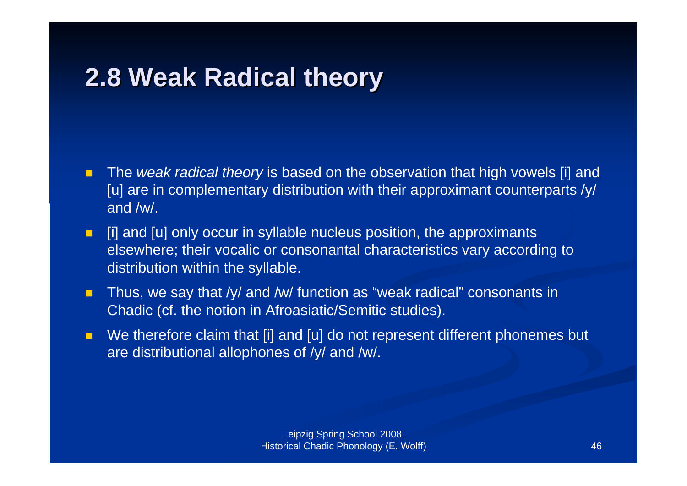### **2.8 Weak Radical theory 2.8 Weak Radical theory**

- $\blacksquare$  The *weak radical theory* is based on the observation that high vowels [i] and [u] are in complementary distribution with their approximant counterparts /y/ and /w/.
- $\blacksquare$  [i] and [u] only occur in syllable nucleus position, the approximants elsewhere; their vocalic or consonantal characteristics vary according to distribution within the syllable.
- $\blacksquare$  Thus, we say that /y/ and /w/ function as "weak radical" consonants in Chadic (cf. the notion in Afroasiatic/Semitic studies).
- П We therefore claim that [i] and [u] do not represent different phonemes but are distributional allophones of /y/ and /w/.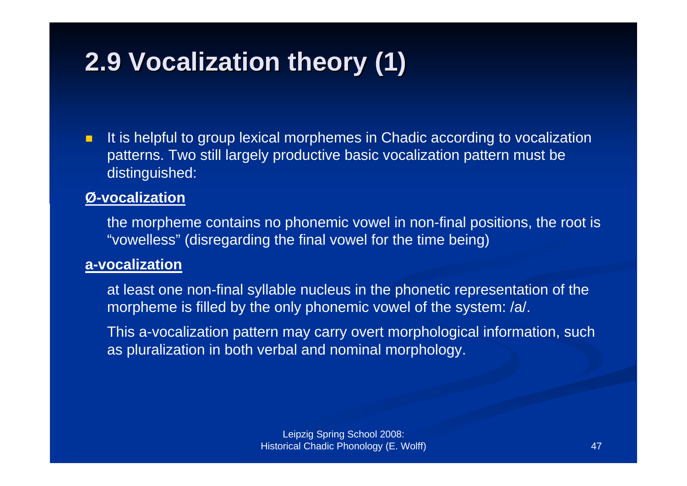## **2.9 Vocalization theory (1) 2.9 Vocalization theory (1)**

 $\blacksquare$  It is helpful to group lexical morphemes in Chadic according to vocalization patterns. Two still largely productive basic vocalization pattern must be distinguished:

### **Ø-vocalization**

the morpheme contains no phonemic vowel in non-final positions, the root is "vowelless" (disregarding the final vowel for the time being)

### **a-vocalization**

at least one non-final syllable nucleus in the phonetic representation of the morpheme is filled by the only phonemic vowel of the system: /a/.

This a-vocalization pattern may carry overt morphological information, such as pluralization in both verbal and nominal morphology.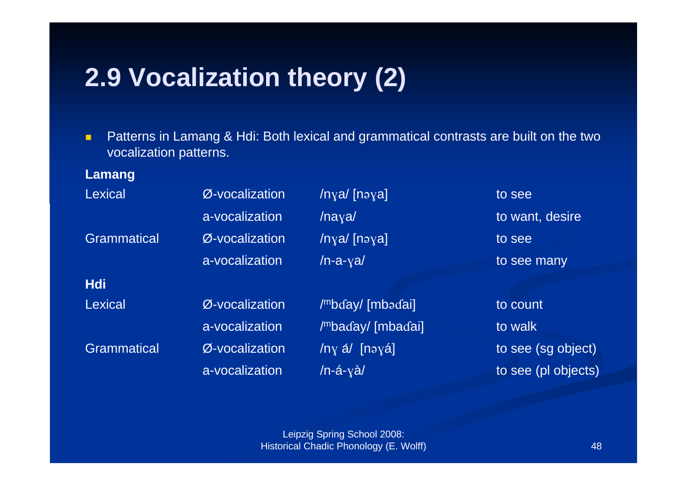### **2.9 Vocalization theory (2)**

 $\blacksquare$  Patterns in Lamang & Hdi: Both lexical and grammatical contrasts are built on the two vocalization patterns.

### **Lamang**

| Lexical            | Ø-vocalization | /nya/ [nəya]      | to see              |
|--------------------|----------------|-------------------|---------------------|
|                    | a-vocalization | $/$ naya $/$      | to want, desire     |
| <b>Grammatical</b> | Ø-vocalization | /nya/ [nəya]      | to see              |
|                    | a-vocalization | $/n-a-ya/$        | to see many         |
| <b>Hdi</b>         |                |                   |                     |
| <b>Lexical</b>     | Ø-vocalization | /mbday/ [mbadai]  | to count            |
|                    | a-vocalization | /mbaday/ [mbadai] | to walk             |
| <b>Grammatical</b> | Ø-vocalization | /ny á/ [nəyá]     | to see (sg object)  |
|                    | a-vocalization | /n-á- $y$ à/      | to see (pl objects) |
|                    |                |                   |                     |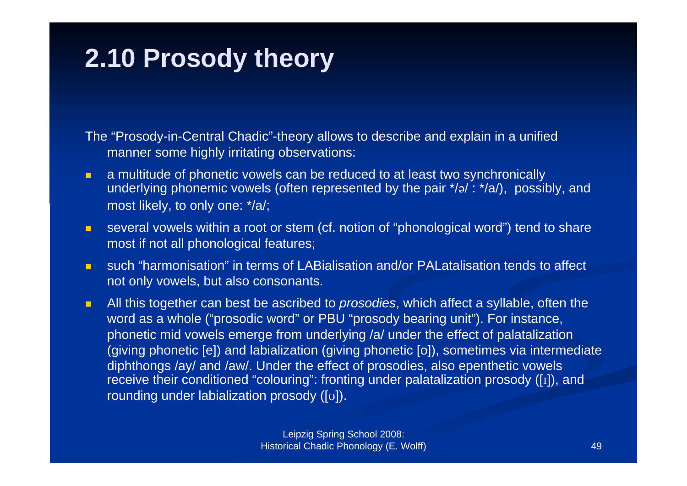## **2.10 Prosody theory**

The "Prosody-in-Central Chadic"-theory allows to describe and explain in a unified manner some highly irritating observations:

- $\blacksquare$  a multitude of phonetic vowels can be reduced to at least two synchronically underlying phonemic vowels (often represented by the pair  $\sqrt[t]{a}$ :  $\sqrt[t]{a}$ ), possibly, and most likely, to only one: \*/a/;
- $\blacksquare$  several vowels within a root or stem (cf. notion of "phonological word") tend to share most if not all phonological features;
- $\blacksquare$  such "harmonisation" in terms of LABialisation and/or PALatalisation tends to affect not only vowels, but also consonants.
- п All this together can best be ascribed to *prosodies*, which affect a syllable, often the word as a whole ("prosodic word" or PBU "prosody bearing unit"). For instance, phonetic mid vowels emerge from underlying /a/ under the effect of palatalization (giving phonetic [e]) and labialization (giving phonetic [o]), sometimes via intermediate diphthongs /ay/ and /aw/. Under the effect of prosodies, also epenthetic vowels receive their conditioned "colouring": fronting under palatalization prosody ([I]), and rounding under labialization prosody  $([v])$ .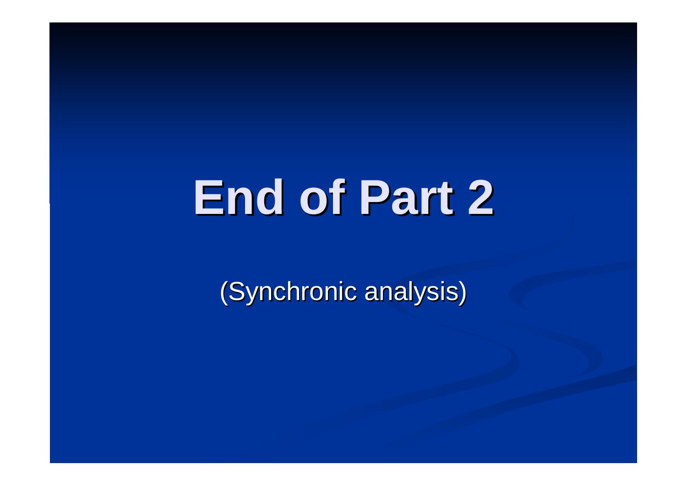# **End of Part 2 End of Part 2**

(Synchronic analysis)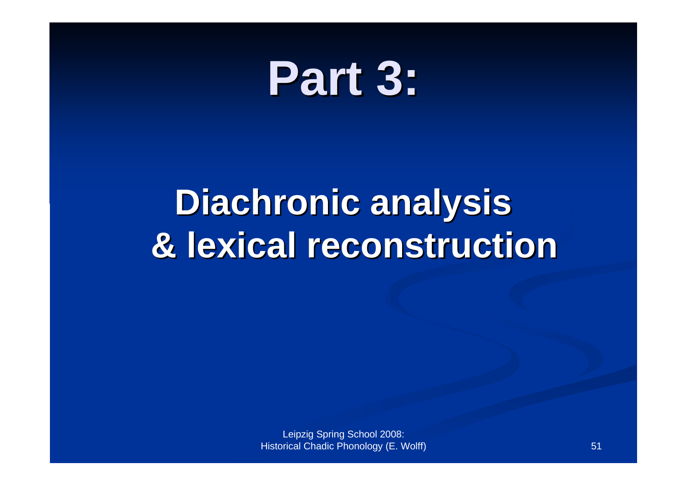# **Part 3: Part 3:**

# **Diachronic Diachronic analysis analysis & lexical lexical reconstruction reconstruction**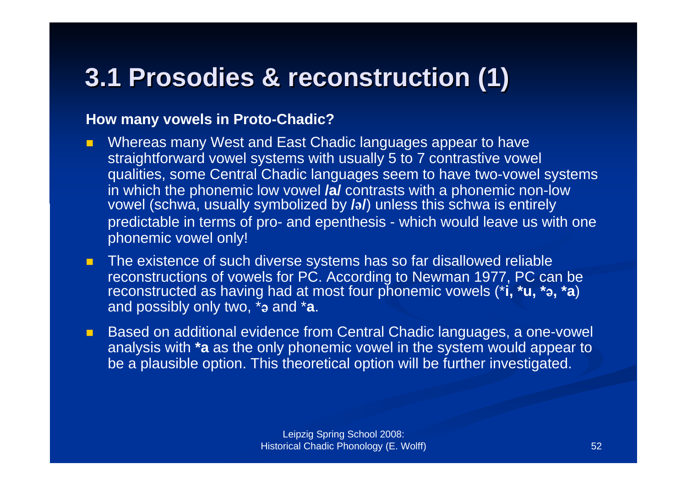### **3.1 Prosodies Prosodies & reconstruction reconstruction (1)**

### **How many vowels in Proto-Chadic?**

- $\blacksquare$  Whereas many West and East Chadic languages appear to have straightforward vowel systems with usually 5 to 7 contrastive vowel qualities, some Central Chadic languages seem to have two-vowel systems in which the phonemic low vowel **/a/** contrasts with a phonemic non-low vowel (schwa, usually symbolized by **//**) unless this schwa is entirely predictable in terms of pro- and epenthesis - which would leave us with one phonemic vowel only!
- $\blacksquare$  The existence of such diverse systems has so far disallowed reliable reconstructions of vowels for PC. According to Newman 1977, PC can be reconstructed as having had at most four phonemic vowels (\*i, \*u, \*a, \*a) and possibly only two, <sup>\*</sup>a and \*a.
- $\mathbf{L}$  Based on additional evidence from Central Chadic languages, a one-vowel analysis with **\*a** as the only phonemic vowel in the system would appear to be a plausible option. This theoretical option will be further investigated.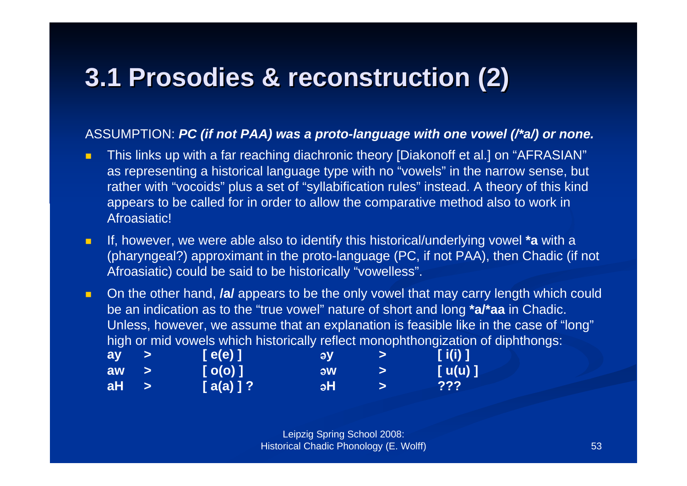### **3.1 Prosodies Prosodies & reconstruction reconstruction (2)**

### ASSUMPTION: *PC (if not PAA) was a proto-language with one vowel (/\*a/) or none.*

- п This links up with a far reaching diachronic theory [Diakonoff et al.] on "AFRASIAN" as representing a historical language type with no "vowels" in the narrow sense, but rather with "vocoids" plus a set of "syllabification rules" instead. A theory of this kind appears to be called for in order to allow the comparative method also to work in Afroasiatic!
- $\blacksquare$  If, however, we were able also to identify this historical/underlying vowel **\*a** with a (pharyngeal?) approximant in the proto-language (PC, if not PAA), then Chadic (if not Afroasiatic) could be said to be historically "vowelless".

 $\blacksquare$  On the other hand, **/a/** appears to be the only vowel that may carry length which could be an indication as to the "true vowel" nature of short and long **\*a/\*aa** in Chadic. Unless, however, we assume that an explanation is feasible like in the case of "long" high or mid vowels which historically reflect monophthongization of diphthongs:

| ay |               | [ e(e) ] <sup> </sup> | <b>I av</b> | <b>12</b> | [ i(i) ]     |
|----|---------------|-----------------------|-------------|-----------|--------------|
| aw |               | $[$ O(O) $]$          | <b>AW</b>   |           | $[$ u(u) $]$ |
| aH | $\rightarrow$ | $[a(a)]$ ?            | <b>aH</b>   |           | 222          |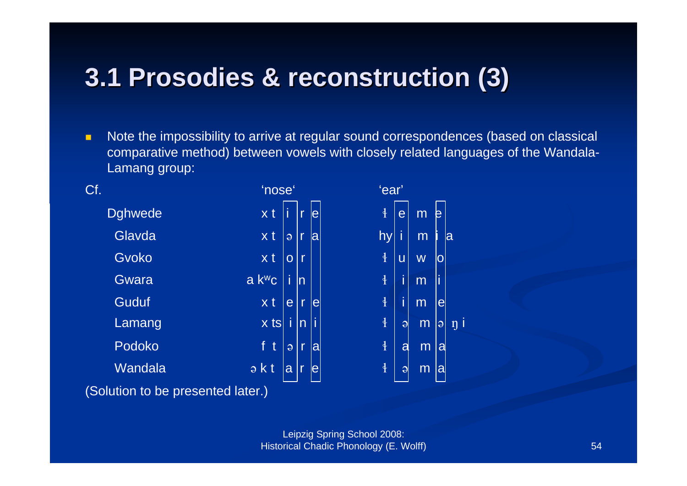### **3.1 Prosodies Prosodies & reconstruction reconstruction (3)**

 $\blacksquare$  Note the impossibility to arrive at regular sound correspondences (based on classical comparative method) between vowels with closely related languages of the Wandala-Lamang group:



(Solution to be presented later.)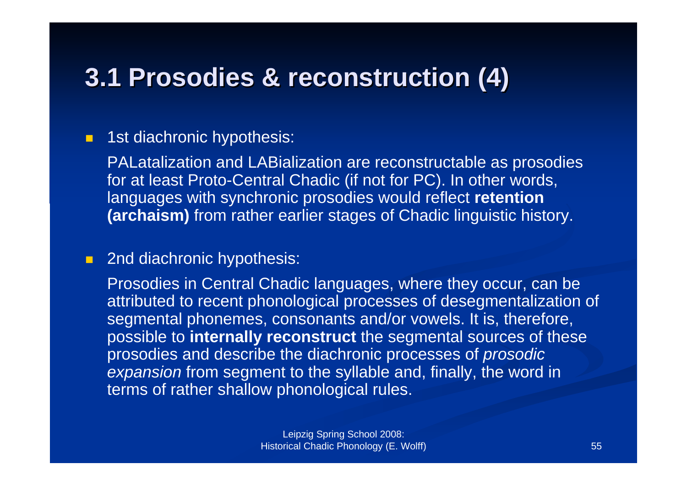### **3.1 Prosodies Prosodies & reconstruction reconstruction (4)**

#### $\blacksquare$ 1st diachronic hypothesis:

PALatalization and LABialization are reconstructable as prosodies for at least Proto-Central Chadic (if not for PC). In other words, languages with synchronic prosodies would reflect **retention (archaism)** from rather earlier stages of Chadic linguistic history.

### **2nd diachronic hypothesis:**

Prosodies in Central Chadic languages, where they occur, can be attributed to recent phonological processes of desegmentalization of segmental phonemes, consonants and/or vowels. It is, therefore, possible to **internally reconstruct** the segmental sources of these prosodies and describe the diachronic processes of *prosodic expansion* from segment to the syllable and, finally, the word in terms of rather shallow phonological rules.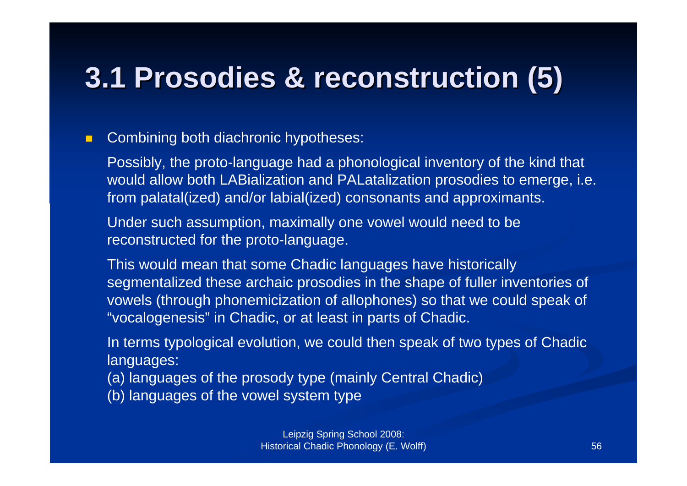# **3.1 Prosodies Prosodies & reconstruction reconstruction (5)**

#### $\blacksquare$ Combining both diachronic hypotheses:

Possibly, the proto-language had a phonological inventory of the kind that would allow both LABialization and PALatalization prosodies to emerge, i.e. from palatal(ized) and/or labial(ized) consonants and approximants.

Under such assumption, maximally one vowel would need to be reconstructed for the proto-language.

This would mean that some Chadic languages have historically segmentalized these archaic prosodies in the shape of fuller inventories of vowels (through phonemicization of allophones) so that we could speak of "vocalogenesis" in Chadic, or at least in parts of Chadic.

In terms typological evolution, we could then speak of two types of Chadic languages:

(a) languages of the prosody type (mainly Central Chadic)

(b) languages of the vowel system type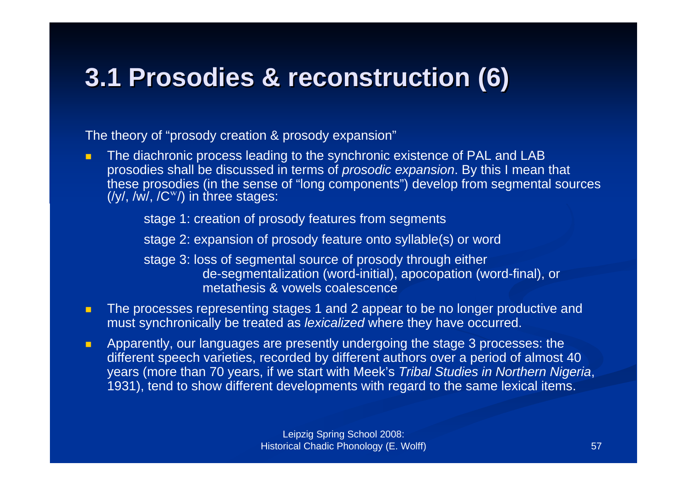### **3.1 Prosodies Prosodies & reconstruction reconstruction (6)**

The theory of "prosody creation & prosody expansion"

 $\blacksquare$  The diachronic process leading to the synchronic existence of PAL and LAB prosodies shall be discussed in terms of *prosodic expansion*. By this I mean that these prosodies (in the sense of "long components") develop from segmental sources  $(\frac{1}{V}, \frac{1}{W}, \frac{1}{W})$  in three stages:

stage 1: creation of prosody features from segments

stage 2: expansion of prosody feature onto syllable(s) or word

stage 3: loss of segmental source of prosody through either de-segmentalization (word-initial), apocopation (word-final), or metathesis & vowels coalescence

- п The processes representing stages 1 and 2 appear to be no longer productive and must synchronically be treated as *lexicalized* where they have occurred.
- п Apparently, our languages are presently undergoing the stage 3 processes: the different speech varieties, recorded by different authors over a period of almost 40 years (more than 70 years, if we start with Meek's *Tribal Studies in Northern Nigeria*, 1931), tend to show different developments with regard to the same lexical items.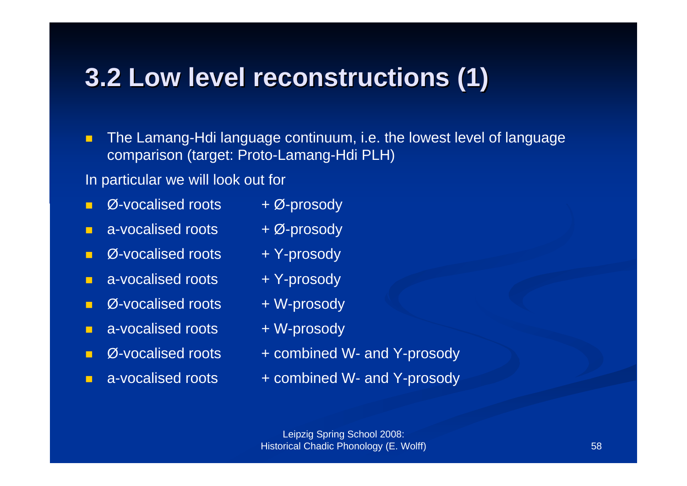### **3.2 Low 3.2 Low level reconstructions reconstructions (1)**

 $\blacksquare$  The Lamang-Hdi language continuum, i.e. the lowest level of language comparison (target: Proto-Lamang-Hdi PLH)

In particular we will look out for

- П  $\varnothing$ -vocalised roots  $\varnothing$ -prosody
- П a-vocalised roots  $\theta + \emptyset$ -prosody
- п  $\emptyset$ -vocalised roots  $+$  Y-prosody
- $\blacksquare$  $a$ -vocalised roots  $+$  Y-prosody
- П  $\emptyset$ -vocalised roots  $+$  W-prosody
- $\blacksquare$ a-vocalised roots + W-prosody
- П
- П
- 
- 
- 
- 
- 
- $\varnothing$ -vocalised roots  $+$  combined W- and Y-prosody
- a-vocalised roots  $+$  combined W- and Y-prosody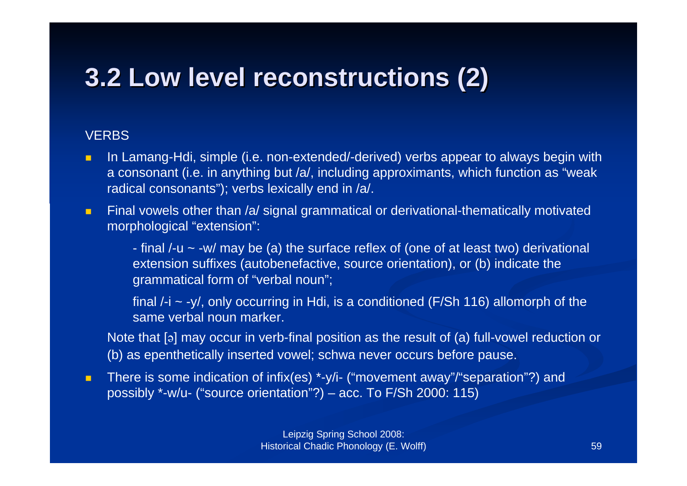### **3.2 Low 3.2 Low level reconstructions reconstructions (2)**

### **VERBS**

- $\blacksquare$  In Lamang-Hdi, simple (i.e. non-extended/-derived) verbs appear to always begin with a consonant (i.e. in anything but /a/, including approximants, which function as "weak radical consonants"); verbs lexically end in /a/.
- $\blacksquare$  Final vowels other than /a/ signal grammatical or derivational-thematically motivated morphological "extension":

- final /-u ~ -w/ may be (a) the surface reflex of (one of at least two) derivational extension suffixes (autobenefactive, source orientation), or (b) indicate the grammatical form of "verbal noun";

final  $\ell$ -i  $\sim$  -y/, only occurring in Hdi, is a conditioned (F/Sh 116) allomorph of the same verbal noun marker.

Note that  $\lceil a \rceil$  may occur in verb-final position as the result of (a) full-vowel reduction or (b) as epenthetically inserted vowel; schwa never occurs before pause.

 $\blacksquare$  There is some indication of infix(es) \*-y/i- ("movement away"/"separation"?) and possibly \*-w/u- ("source orientation"?) – acc. To F/Sh 2000: 115)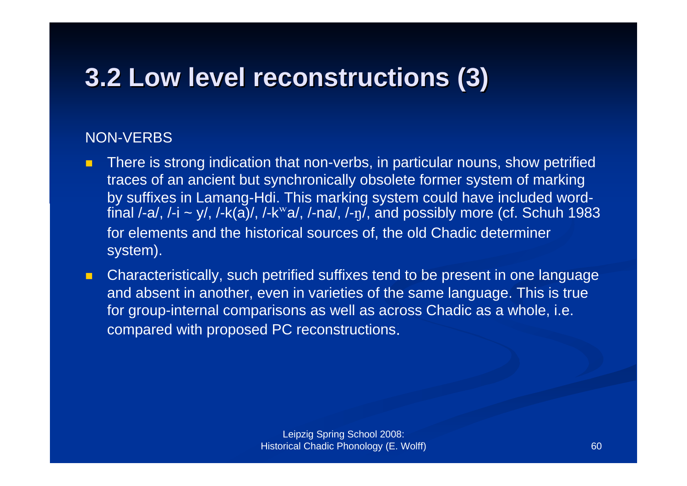### **3.2 Low 3.2 Low level reconstructions reconstructions (3)**

### NON-VERBS

- П There is strong indication that non-verbs, in particular nouns, show petrified traces of an ancient but synchronically obsolete former system of marking by suffixes in Lamang-Hdi. This marking system could have included wordfinal  $\overline{I}$ -a/,  $I$ -i ~ y/,  $I$ - $\overline{k(a)}$ /,  $I$ - $k^{\text{w}}$ a/,  $I$ -na/,  $I$ -n $I$ , and possibly more (cf. Schuh 1983 for elements and the historical sources of, the old Chadic determiner system).
- $\blacksquare$  Characteristically, such petrified suffixes tend to be present in one language and absent in another, even in varieties of the same language. This is true for group-internal comparisons as well as across Chadic as a whole, i.e. compared with proposed PC reconstructions.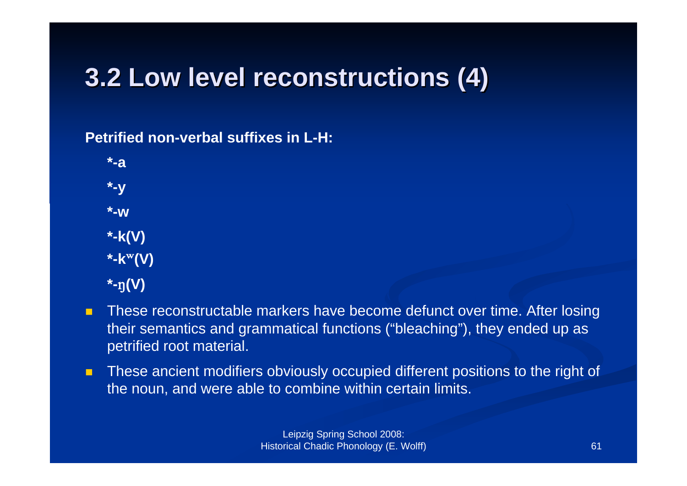### **3.2 Low 3.2 Low level reconstructions reconstructions (4)**

**Petrified non-verbal suffixes in L-H:** 

**\*-a \*-y \*-w \*-k(V) \*-k**W**(V)**  $*$ - $\eta$ (V)

- П These reconstructable markers have become defunct over time. After losing their semantics and grammatical functions ("bleaching"), they ended up as petrified root material.
- $\blacksquare$  These ancient modifiers obviously occupied different positions to the right of the noun, and were able to combine within certain limits.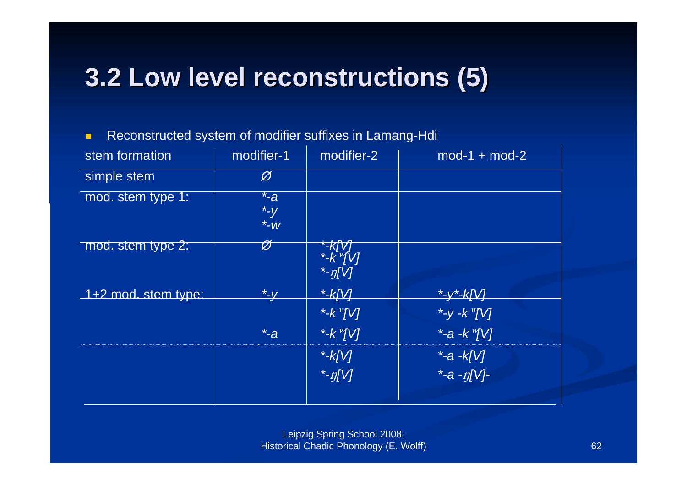### **3.2 Low 3.2 Low level reconstructions reconstructions (5)**

п Reconstructed system of modifier suffixes in Lamang-Hdi

| stem formation        | modifier-1                                | modifier-2              | $mod-1 + mod-2$          |
|-----------------------|-------------------------------------------|-------------------------|--------------------------|
| simple stem           | Ø                                         |                         |                          |
| mod. stem type 1:     | $\overline{\ }$ -a<br>$*$ - $y$<br>$*$ -W |                         |                          |
| mod. stem type 2:     | Ø                                         | *- $\overline{\eta[V]}$ |                          |
| $1+2$ mod. stem type: | <u>*-y</u>                                | $*$ -k[V]               | <u>*-y*-k[V]</u>         |
|                       |                                           | *- $k$ <sup>w</sup> [V] | *-y -k $^{w}$ [V]        |
|                       | $\overline{\ }$ -a                        | *- $k^{w}$ [V]          | *-a - $k^{\text{w}}$ [V] |
|                       |                                           | *- $k[V]$               | $*$ -a -k[V]             |
|                       |                                           | $\frac{1}{2}$ -n[V]     | *-a - $\eta$ [V]-        |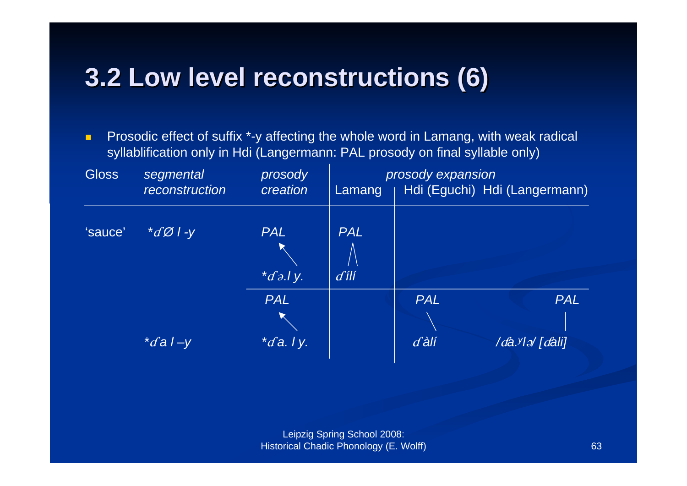### **3.2 Low 3.2 Low level reconstructions reconstructions (6)**

 $\blacksquare$  Prosodic effect of suffix \*-y affecting the whole word in Lamang, with weak radical syllablification only in Hdi (Langermann: PAL prosody on final syllable only)

| <b>Gloss</b> | segmental<br>reconstruction    | prosody<br>creation            | prosody expansion<br>Hdi (Eguchi) Hdi (Langermann)<br>Lamang |                       |                                           |
|--------------|--------------------------------|--------------------------------|--------------------------------------------------------------|-----------------------|-------------------------------------------|
| 'sauce'      | $\mathscr{A} \mathscr{O}$ / -y | <b>PAL</b><br>$\sqrt[t]{a}$    | <b>PAL</b><br>$d$ ili                                        |                       |                                           |
|              | $\sqrt[t]{a}$ l -y             | <b>PAL</b><br>$\star$ da. I y. |                                                              | <b>PAL</b><br>$d$ àlí | <b>PAL</b><br>/da. <sup>y</sup> lə/[dali] |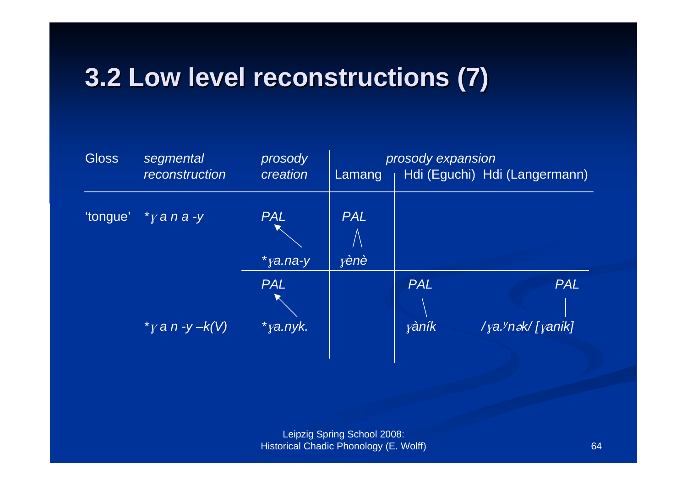### **3.2 Low 3.2 Low level reconstructions reconstructions (7)**

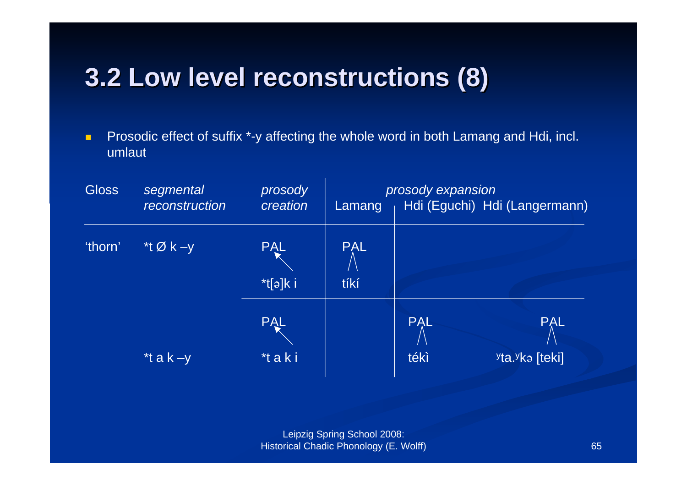### **3.2 Low 3.2 Low level reconstructions reconstructions (8)**

 $\blacksquare$  Prosodic effect of suffix \*-y affecting the whole word in both Lamang and Hdi, incl. umlaut

| <b>Gloss</b> | segmental<br>reconstruction    | prosody<br>creation                       | prosody expansion<br>Hdi (Eguchi) Hdi (Langermann)<br>Lamang |                    |                                                       |
|--------------|--------------------------------|-------------------------------------------|--------------------------------------------------------------|--------------------|-------------------------------------------------------|
| 'thorn'      | *t $\overline{\emptyset}$ k -y | <b>PAL</b><br>$*$ t $\lceil a \rceil$ k i | <b>PAL</b><br>tíkí                                           |                    |                                                       |
|              | *t a $k - y$                   | <b>PAL</b><br>*taki                       |                                                              | <b>PAL</b><br>tékì | <b>PAL</b><br><sup>y</sup> ta. <sup>y</sup> ka [teki] |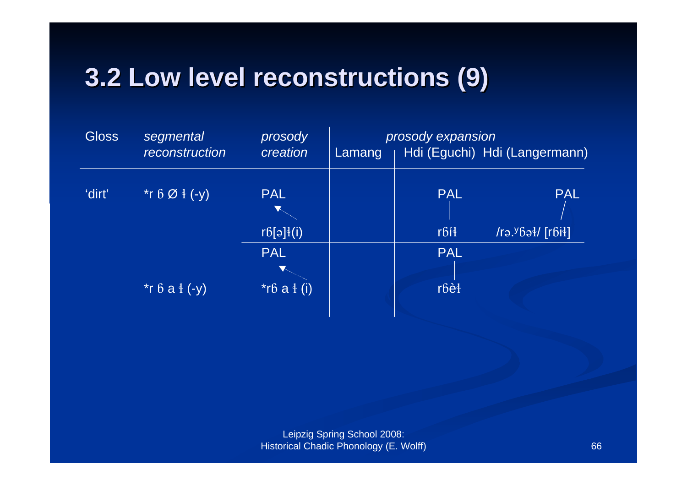### **3.2 Low 3.2 Low level reconstructions reconstructions (9)**

| <b>Gloss</b> | segmental<br>reconstruction | prosody<br>creation | prosody expansion<br>Hdi (Eguchi) Hdi (Langermann)<br>Lamang |             |                           |
|--------------|-----------------------------|---------------------|--------------------------------------------------------------|-------------|---------------------------|
| 'dirt'       | *r 6 Ø $\{ -y \}$           | <b>PAL</b>          |                                                              | <b>PAL</b>  | <b>PAL</b>                |
|              |                             | r6[ə]4(i)           |                                                              | rbíł        | $ $ /rə. $969\sqrt{1661}$ |
|              |                             | <b>PAL</b>          |                                                              | <b>PAL</b>  |                           |
|              |                             |                     |                                                              |             |                           |
|              | *r $6a \frac{1}{2}$ (-y)    | $*$ r $6a$ $4(i)$   |                                                              | $r6\dot{e}$ |                           |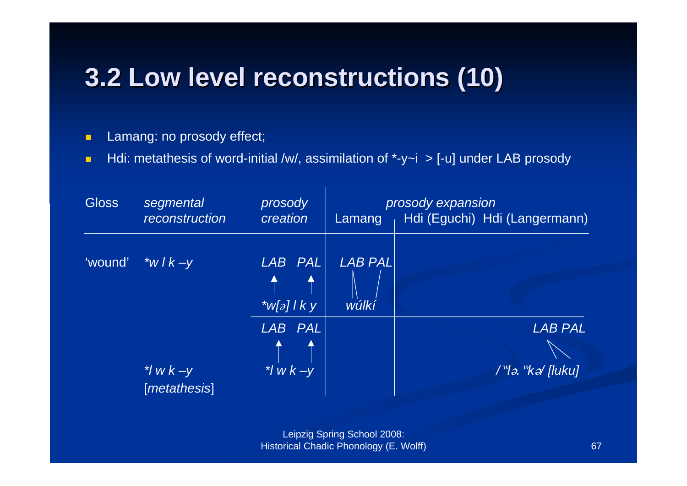### **3.2 Low 3.2 Low level reconstructions reconstructions (10)**

 $\blacksquare$ Lamang: no prosody effect;

 $\blacksquare$ Hdi: metathesis of word-initial /w/, assimilation of  $*$ -y~i > [-u] under LAB prosody

| <b>Gloss</b> | segmental<br>reconstruction      | prosody<br>creation                | Lamang                  | prosody expansion<br>Hdi (Eguchi) Hdi (Langermann)                         |
|--------------|----------------------------------|------------------------------------|-------------------------|----------------------------------------------------------------------------|
| 'wound'      | *w $\frac{1}{k}$ + $\frac{1}{k}$ | LAB PAL<br>▲<br>* $W[\partial]/Ky$ | <b>LAB PAL</b><br>wúlkí |                                                                            |
|              | $\gamma$ w $k-y$<br>[metathesis] | LAB PAL<br>$*1$ w $k - y$          |                         | <b>LAB PAL</b><br>$\frac{1}{2}$ /M <sub>2</sub> . "K <sub>2</sub> / [luku] |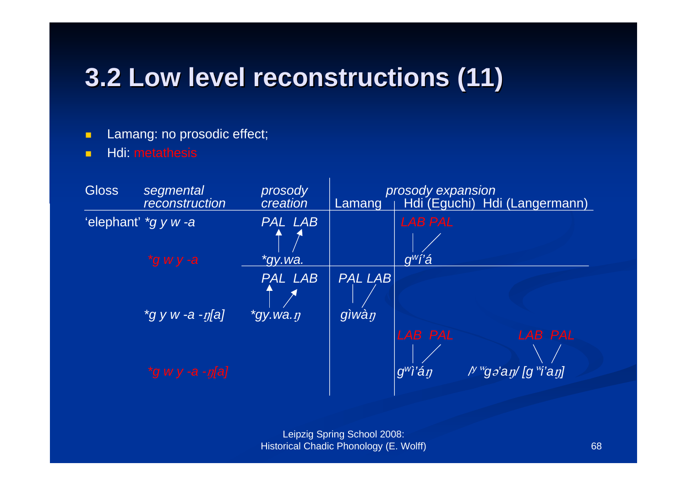### **3.2 Low 3.2 Low level reconstructions reconstructions (11)**

- $\blacksquare$ Lamang: no prosodic effect;
- П Hdi: metathesis

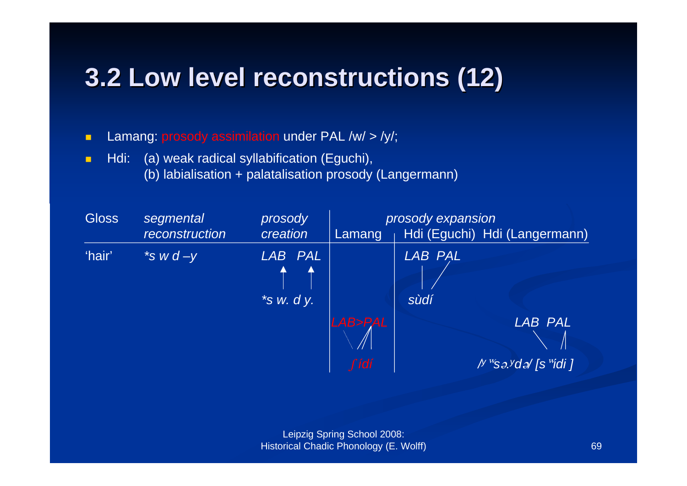### **3.2 Low 3.2 Low level reconstructions reconstructions (12)**

 $\blacksquare$ Lamang: prosody assimilation under PAL /w/ > /y/;

 $\blacksquare$  Hdi: (a) weak radical syllabification (Eguchi), (b) labialisation + palatalisation prosody (Langermann)

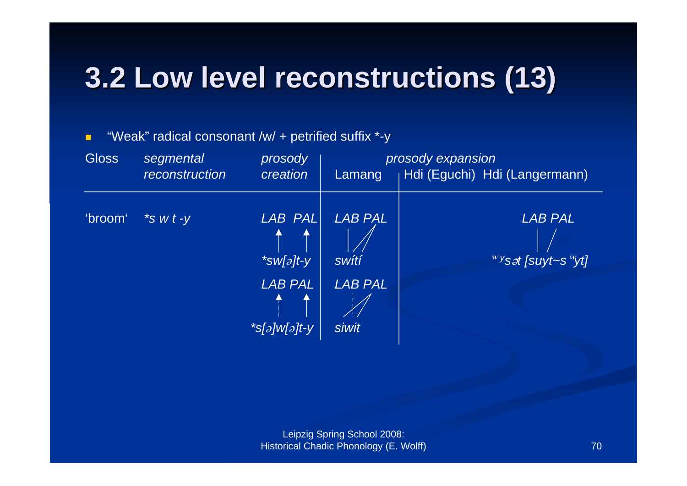# **3.2 Low 3.2 Low level reconstructions reconstructions (13)**

### **Gloss**  *segmental prosody prosody expansion reconstruction creation* Lamang Hdi (Eguchi) Hdi (Langermann) 'broom' *\*s w t -y LAB PAL LAB PAL LAB PAL \*sw[ə]t-y* | *swítí* | www.wasat.com/www.wasat.com/ *LAB PAL LAB PAL\*s[]w[]t-y siwit*

#### $\blacksquare$ "Weak" radical consonant /w/ + petrified suffix \*-y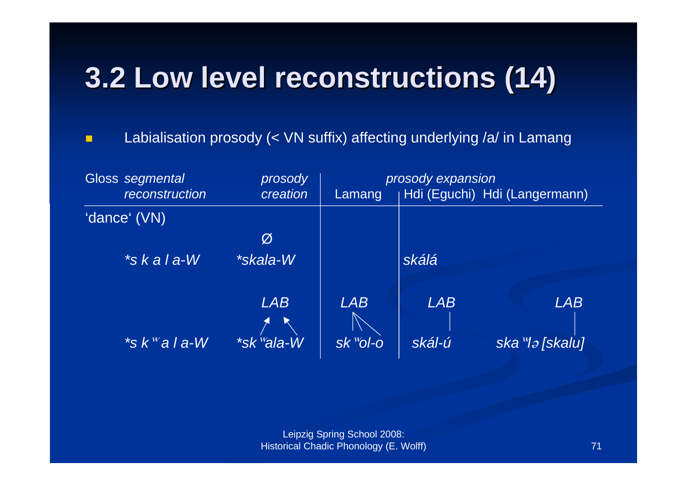# **3.2 Low 3.2 Low level reconstructions reconstructions (14)**

п Labialisation prosody (< VN suffix) affecting underlying /a/ in Lamang

| Gloss segmental<br>prosody |                      |                        | prosody expansion              |            |                               |  |
|----------------------------|----------------------|------------------------|--------------------------------|------------|-------------------------------|--|
|                            | reconstruction       | creation               | Lamang                         |            | Hdi (Eguchi) Hdi (Langermann) |  |
|                            | 'dance' (VN)         |                        |                                |            |                               |  |
|                            |                      | Ø                      |                                |            |                               |  |
|                            | $*$ skala-W          | *skala-W               |                                | skálá      |                               |  |
|                            |                      | <b>LAB</b>             | <b>LAB</b>                     | <b>LAB</b> | <b>LAB</b>                    |  |
|                            |                      |                        |                                |            |                               |  |
|                            | $*$ s k $^w$ a l a-W | *sk <sup>w</sup> ala-W | $S K$ <sup><i>w</i></sup> Ol-O | skál-ú     | ska <sup>w</sup> la [skalu]   |  |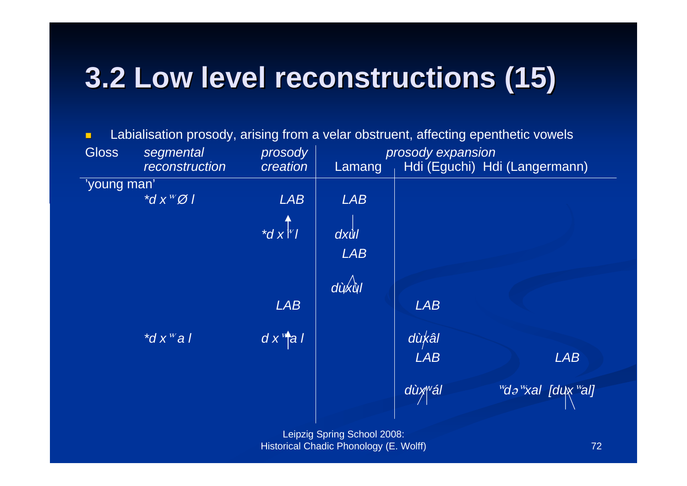# **3.2 Low 3.2 Low level reconstructions reconstructions (15)**

 $\blacksquare$ Labialisation prosody, arising from a velar obstruent, affecting epenthetic vowels

| <b>Gloss</b> | segmental                           | prosody                | prosody expansion |            |                               |
|--------------|-------------------------------------|------------------------|-------------------|------------|-------------------------------|
|              | reconstruction                      | creation               | Lamang            |            | Hdi (Eguchi) Hdi (Langermann) |
| 'young man'  |                                     |                        |                   |            |                               |
|              | $\overline{d}$ x $\overline{W}$ 0 1 | <b>LAB</b>             | <b>LAB</b>        |            |                               |
|              |                                     |                        |                   |            |                               |
|              |                                     | $\overrightarrow{d}$   | $dx$ Ù            |            |                               |
|              |                                     |                        | <b>LAB</b>        |            |                               |
|              |                                     |                        |                   |            |                               |
|              |                                     |                        | dùxùl             |            |                               |
|              |                                     | <b>LAB</b>             |                   | <b>LAB</b> |                               |
|              | $\overline{d}$ x <sup>w</sup> al    | $dx^{\prime\prime}$ al |                   | dùkâl      |                               |
|              |                                     |                        |                   | <b>LAB</b> | <b>LAB</b>                    |
|              |                                     |                        |                   | dùxwál     | wda wxal [dux wal]            |
|              |                                     |                        |                   |            |                               |
|              |                                     |                        |                   |            |                               |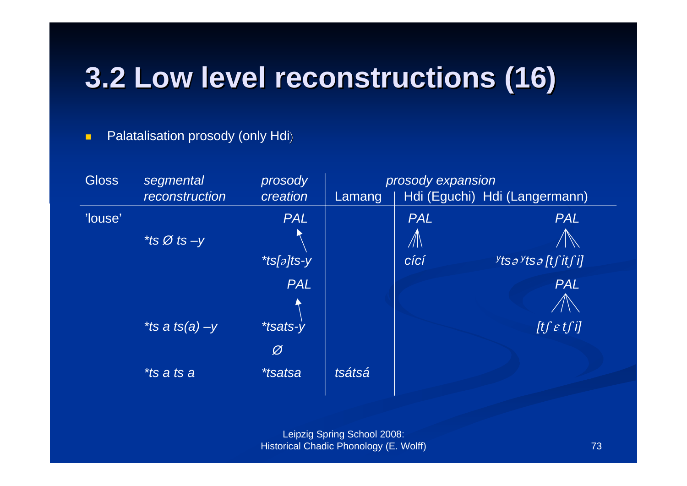# 3.2 Low level reconstructions (16)

#### Palatalisation prosody (only Hdi)  $\blacksquare$

| <b>Gloss</b> | segmental         | prosody               | prosody expansion |                                   |                               |
|--------------|-------------------|-----------------------|-------------------|-----------------------------------|-------------------------------|
|              | reconstruction    | creation              | Lamang            |                                   | Hdi (Eguchi) Hdi (Langermann) |
| 'louse'      |                   | <b>PAL</b>            |                   | <b>PAL</b>                        | <b>PAL</b>                    |
|              | *ts Ø ts $-y$     |                       |                   | $\mathbb{Z} \setminus \mathbb{Z}$ |                               |
|              |                   | *ts[ $\partial$ ]ts-y |                   | cící                              | ytsa ytsa [tʃ itʃ i]          |
|              |                   | <b>PAL</b>            |                   |                                   | <b>PAL</b>                    |
|              |                   |                       |                   |                                   |                               |
|              | *ts a ts(a) $-y$  | <i>*tsats-y</i>       |                   |                                   | [tf $\varepsilon$ tf i]       |
|              |                   | Ø                     |                   |                                   |                               |
|              | <i>*ts a ts a</i> | <i>*tsatsa</i>        | tsátsá            |                                   |                               |
|              |                   |                       |                   |                                   |                               |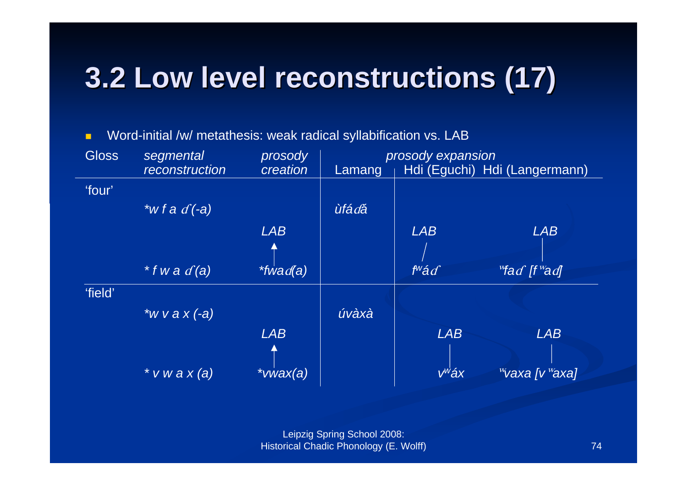# 3.2 Low level reconstructions (17)

Word-initial /w/ metathesis: weak radical syllabification vs. LAB  $\blacksquare$ 

| <b>Gloss</b> | segmental                              | prosody         | prosody expansion |                  |                                        |
|--------------|----------------------------------------|-----------------|-------------------|------------------|----------------------------------------|
|              | reconstruction                         | creation        | Lamang            |                  | Hdi (Eguchi) Hdi (Langermann)          |
| 'four'       |                                        |                 |                   |                  |                                        |
|              | $\overline{\mathcal{H}}$ w f a $d(-a)$ |                 | <i>ùfádá</i>      |                  |                                        |
|              |                                        | <b>LAB</b>      |                   | <b>LAB</b>       | <b>LAB</b>                             |
|              |                                        |                 |                   |                  |                                        |
|              | $*$ f w a $d'$ (a)                     | <i>*fwad(a)</i> |                   | $f^w \acute{a}f$ | $\sqrt[w]$ ad [f $\sqrt[w]$ ad]        |
| 'field'      |                                        |                 |                   |                  |                                        |
|              | *w v a $x$ $(-a)$                      |                 | úvàxà             |                  |                                        |
|              |                                        | <b>LAB</b>      |                   | <b>LAB</b>       | <b>LAB</b>                             |
|              |                                        |                 |                   |                  |                                        |
|              | $*$ v w a x (a)                        | $*v w ax (a)$   |                   | $V^W$ áx         | $\mathbb{W}$ vaxa [v $\mathbb{W}$ axa] |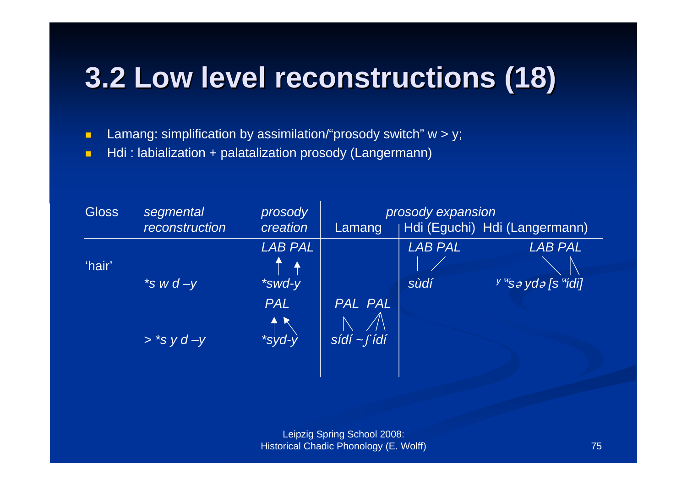## **3.2 Low level reconstructions (18)**

Lamang: simplification by assimilation/"prosody switch"  $w > y$ ;  $\blacksquare$ 

Hdi: labialization + palatalization prosody (Langermann)  $\blacksquare$ 

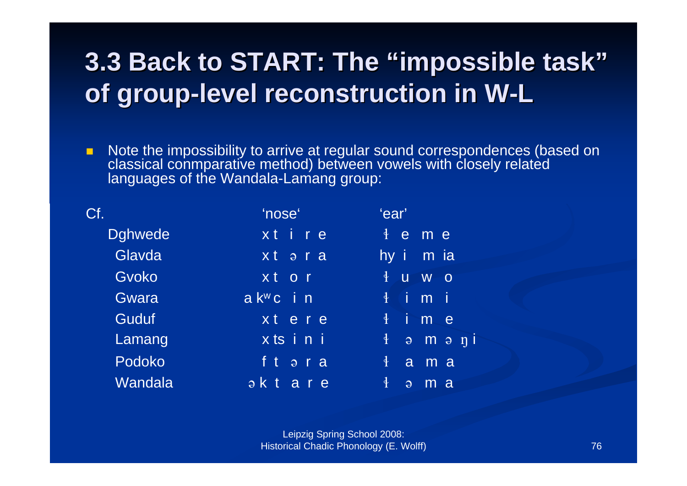### **3.3 Back to START: The "impossible task" of group-level reconstruction in W-L**

 $\blacksquare$  Note the impossibility to arrive at regular sound correspondences (based on classical conmparative method) between vowels with closely related languages of the Wandala-Lamang group:

| Cf.            | 'nose'                                | 'ear'                                                     |  |
|----------------|---------------------------------------|-----------------------------------------------------------|--|
| <b>Dghwede</b> | xt i r e                              | $\frac{1}{2}$<br>$\mathbf e$<br>m e                       |  |
| Glavda         | x t                                   | hy i<br>$\overline{m}$ ia                                 |  |
| Gvoko          | x t<br>O <sub>r</sub>                 | $\ddagger$<br>$\overline{u}$<br>W<br>$\overline{O}$       |  |
| Gwara          | $a K^w c$ in                          | Ť<br>Ξi<br>$\ddagger$<br>m                                |  |
| Guduf          | xt ere                                | Ť<br>$\frac{1}{2}$<br>m<br>$\mathbf e$                    |  |
| Lamang         | xtsini                                | $\frac{1}{2}$<br>$m$ $\theta$ $\eta$ $\theta$<br>$\Theta$ |  |
| Podoko         | f t<br>$\overline{p}$ r a             | $\frac{1}{\sqrt{2}}$<br>a<br>m a                          |  |
| Wandala        | $a \kappa t$<br>a<br>$r \overline{e}$ | $\frac{1}{2}$<br>m<br><sub>a</sub><br>$\Theta$            |  |
|                |                                       |                                                           |  |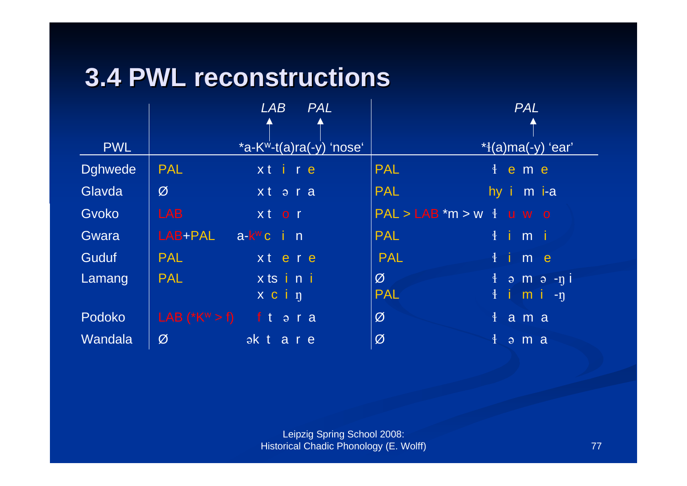### **3.4 PWL reconstructions**

|                |                                   | LAB<br><b>PAL</b>         |                                        | <b>PAL</b>                      |
|----------------|-----------------------------------|---------------------------|----------------------------------------|---------------------------------|
|                |                                   |                           |                                        |                                 |
| <b>PWL</b>     |                                   | $*a-Kw-t(a)ra(-y)$ 'nose' |                                        | $*$ {(a)ma(-y) 'ear'            |
| <b>Dghwede</b> | <b>PAL</b>                        | xtire                     | <b>PAL</b>                             | $\frac{1}{2}$ e m e             |
| Glavda         | Ø                                 | xtəra                     | <b>PAL</b>                             | hy i m i-a                      |
| Gvoko          | <b>LAB</b>                        | xt or                     | $PAL > LAB$ *m > w $\frac{1}{2}$ u w o |                                 |
| Gwara          | LAB+PAL                           | a-k <sup>w</sup> c in     | <b>PAL</b>                             | $\frac{1}{2}$ im i              |
| Guduf          | <b>PAL</b>                        | xt ere                    | <b>PAL</b>                             | $\frac{1}{2}$ ime               |
| Lamang         | <b>PAL</b>                        | xtsini                    | $\varnothing$                          | $\frac{1}{2}$ am a -ni          |
|                |                                   | x c i n                   | <b>PAL</b>                             | $\frac{1}{2}$ imi-n             |
| Podoko         | LAB $(*K^w > f)$ f t $\theta$ r a |                           | Ø                                      | $\frac{1}{2}$ a m a             |
| Wandala        | Ø                                 | aktare                    | Ø                                      | $\frac{1}{2}$ $\frac{1}{2}$ m a |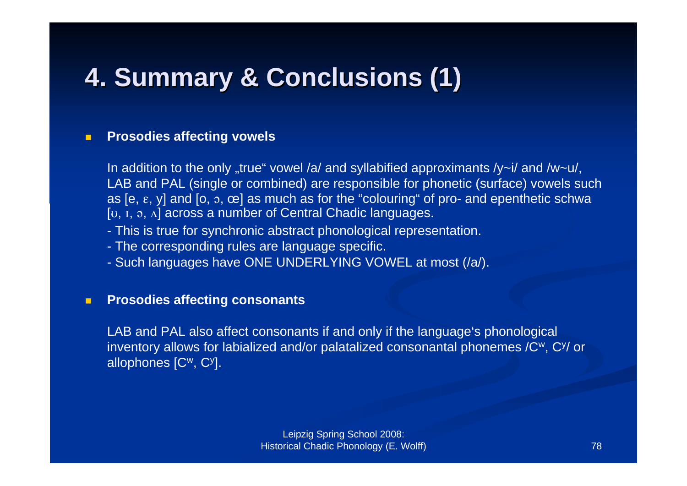### **4. Summary Summary & Conclusions Conclusions (1)**

#### $\blacksquare$ **Prosodies affecting vowels**

In addition to the only "true" vowel /a/ and syllabified approximants /y~i/ and /w~u/, LAB and PAL (single or combined) are responsible for phonetic (surface) vowels such as [e,  $\varepsilon$ , y] and [o,  $\delta$ ,  $\infty$ ] as much as for the "colouring" of pro- and epenthetic schwa [ $U, I, \theta, \Lambda$ ] across a number of Central Chadic languages.

- This is true for synchronic abstract phonological representation.
- The corresponding rules are language specific.
- Such languages have ONE UNDERLYING VOWEL at most (/a/).

#### $\blacksquare$ **Prosodies affecting consonants**

LAB and PAL also affect consonants if and only if the language's phonological inventory allows for labialized and/or palatalized consonantal phonemes  $/C^w$ ,  $C^y$  or allophones [Cw, Cy].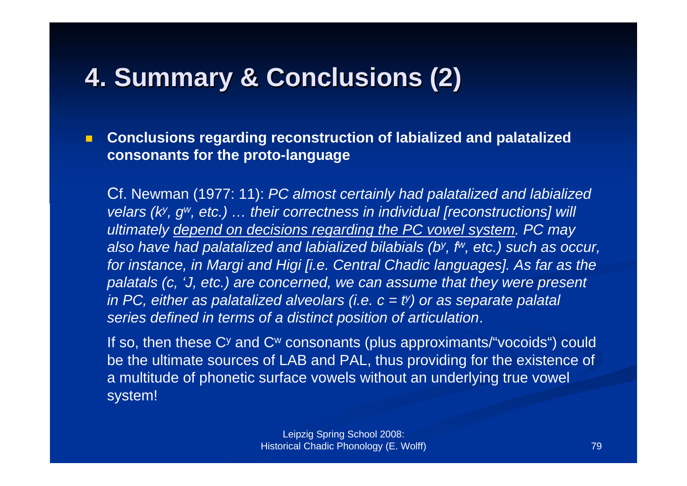### **4. Summary Summary & Conclusions Conclusions (2)**

 $\blacksquare$  **Conclusions regarding reconstruction of labialized and palatalized consonants for the proto-language**

Cf. Newman (1977: 11): *PC almost certainly had palatalized and labialized velars (k<sup>y</sup>, g<sup>w</sup>, etc.) ... their correctness in individual [reconstructions] will ultimately depend on decisions regarding the PC vowel system. PC may also have had palatalized and labialized bilabials (by, fw, etc.) such as occur, for instance, in Margi and Higi [i.e. Central Chadic languages]. As far as the palatals (c, 'J, etc.) are concerned, we can assume that they were present in PC, either as palatalized alveolars (i.e. c = ty) or as separate palatal series defined in terms of a distinct position of articulation*.

If so, then these Cy and Cw consonants (plus approximants/"vocoids") could be the ultimate sources of LAB and PAL, thus providing for the existence of a multitude of phonetic surface vowels without an underlying true vowel system!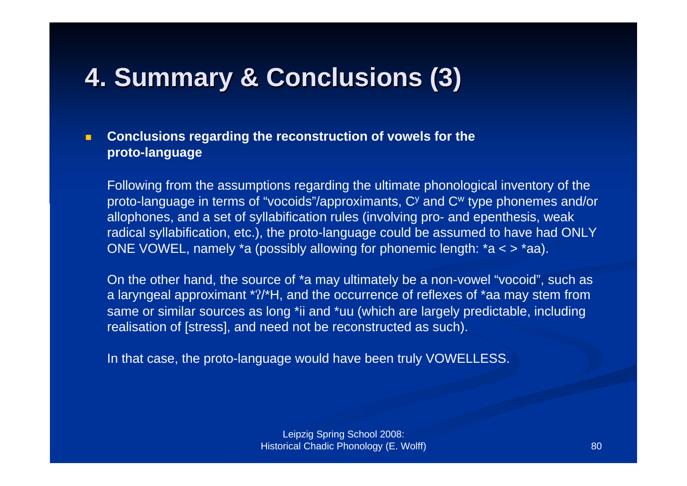### **4. Summary Summary & Conclusions Conclusions (3)**

#### $\blacksquare$  **Conclusions regarding the reconstruction of vowels for the proto-language**

Following from the assumptions regarding the ultimate phonological inventory of the proto-language in terms of "vocoids"/approximants, Cy and Cw type phonemes and/or allophones, and a set of syllabification rules (involving pro- and epenthesis, weak radical syllabification, etc.), the proto-language could be assumed to have had ONLY ONE VOWEL, namely \*a (possibly allowing for phonemic length:  $*a < > *aa$ ).

On the other hand, the source of \*a may ultimately be a non-vowel "vocoid", such as a laryngeal approximant \*?/\*H, and the occurrence of reflexes of \*aa may stem from same or similar sources as long \*ii and \*uu (which are largely predictable, including realisation of [stress], and need not be reconstructed as such).

In that case, the proto-language would have been truly VOWELLESS.